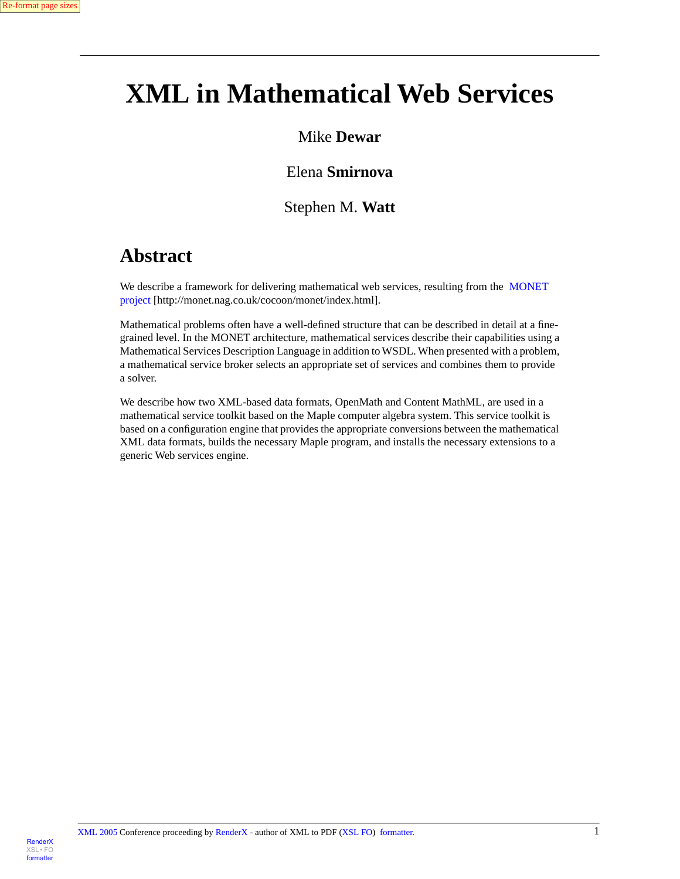# **XML in Mathematical Web Services**

#### Mike **Dewar**

### Elena **Smirnova**

#### Stephen M. **Watt**

### **Abstract**

We describe a framework for delivering mathematical web services, resulting from the [MONET](http://monet.nag.co.uk/cocoon/monet/index.html) [project](http://monet.nag.co.uk/cocoon/monet/index.html) [http://monet.nag.co.uk/cocoon/monet/index.html].

Mathematical problems often have a well-defined structure that can be described in detail at a finegrained level. In the MONET architecture, mathematical services describe their capabilities using a Mathematical Services Description Language in addition to WSDL. When presented with a problem, a mathematical service broker selects an appropriate set of services and combines them to provide a solver.

We describe how two XML-based data formats, OpenMath and Content MathML, are used in a mathematical service toolkit based on the Maple computer algebra system. This service toolkit is based on a configuration engine that provides the appropriate conversions between the mathematical XML data formats, builds the necessary Maple program, and installs the necessary extensions to a generic Web services engine.

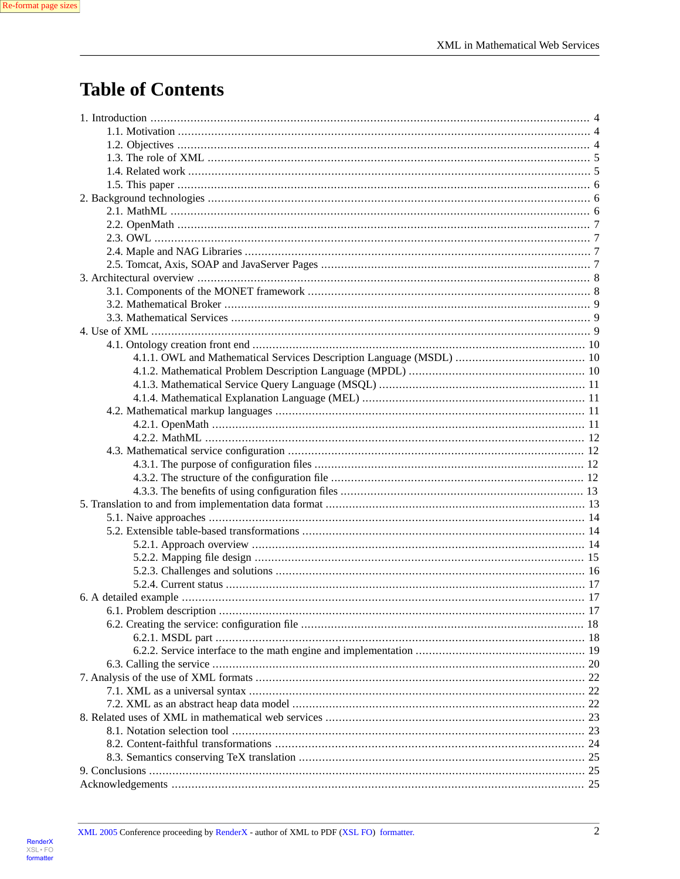## **Table of Contents**

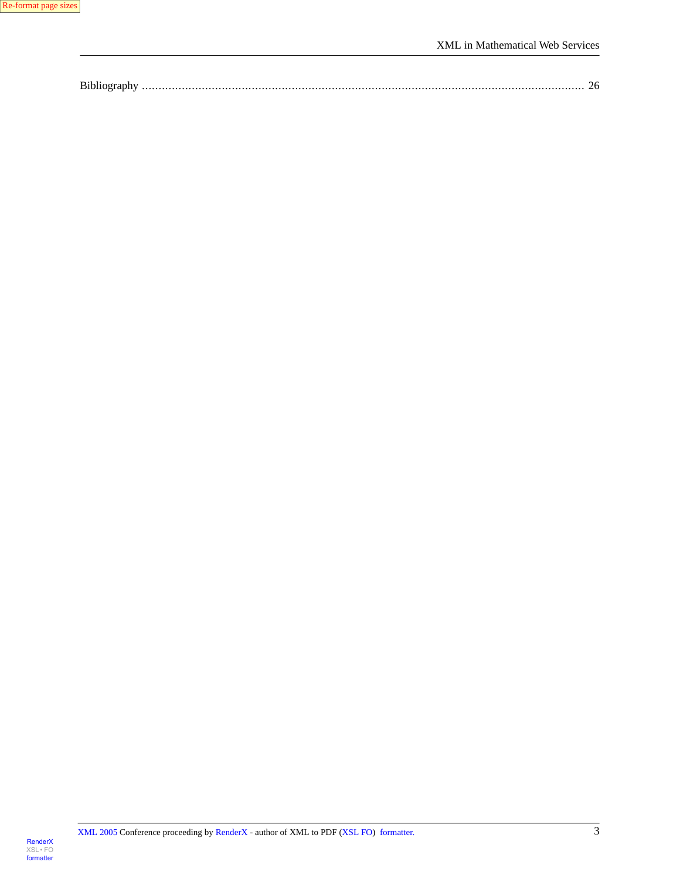| Bibli |  |  |  |
|-------|--|--|--|
|-------|--|--|--|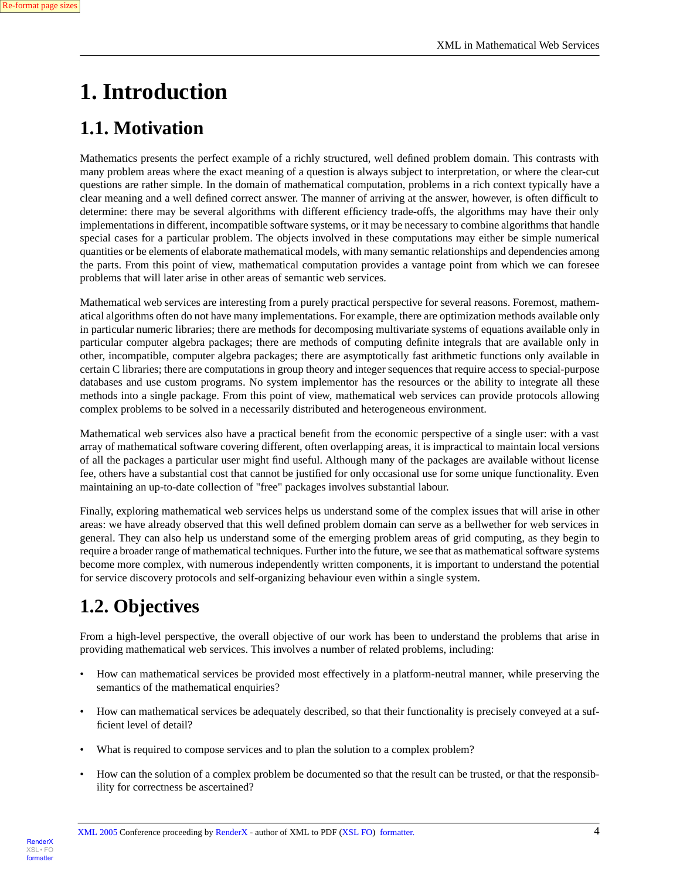# <span id="page-3-0"></span>**1. Introduction**

## <span id="page-3-1"></span>**1.1. Motivation**

Mathematics presents the perfect example of a richly structured, well defined problem domain. This contrasts with many problem areas where the exact meaning of a question is always subject to interpretation, or where the clear-cut questions are rather simple. In the domain of mathematical computation, problems in a rich context typically have a clear meaning and a well defined correct answer. The manner of arriving at the answer, however, is often difficult to determine: there may be several algorithms with different efficiency trade-offs, the algorithms may have their only implementations in different, incompatible software systems, or it may be necessary to combine algorithms that handle special cases for a particular problem. The objects involved in these computations may either be simple numerical quantities or be elements of elaborate mathematical models, with many semantic relationships and dependencies among the parts. From this point of view, mathematical computation provides a vantage point from which we can foresee problems that will later arise in other areas of semantic web services.

Mathematical web services are interesting from a purely practical perspective for several reasons. Foremost, mathematical algorithms often do not have many implementations. For example, there are optimization methods available only in particular numeric libraries; there are methods for decomposing multivariate systems of equations available only in particular computer algebra packages; there are methods of computing definite integrals that are available only in other, incompatible, computer algebra packages; there are asymptotically fast arithmetic functions only available in certain C libraries; there are computations in group theory and integer sequences that require access to special-purpose databases and use custom programs. No system implementor has the resources or the ability to integrate all these methods into a single package. From this point of view, mathematical web services can provide protocols allowing complex problems to be solved in a necessarily distributed and heterogeneous environment.

Mathematical web services also have a practical benefit from the economic perspective of a single user: with a vast array of mathematical software covering different, often overlapping areas, it is impractical to maintain local versions of all the packages a particular user might find useful. Although many of the packages are available without license fee, others have a substantial cost that cannot be justified for only occasional use for some unique functionality. Even maintaining an up-to-date collection of "free" packages involves substantial labour.

<span id="page-3-2"></span>Finally, exploring mathematical web services helps us understand some of the complex issues that will arise in other areas: we have already observed that this well defined problem domain can serve as a bellwether for web services in general. They can also help us understand some of the emerging problem areas of grid computing, as they begin to require a broader range of mathematical techniques. Further into the future, we see that as mathematical software systems become more complex, with numerous independently written components, it is important to understand the potential for service discovery protocols and self-organizing behaviour even within a single system.

## **1.2. Objectives**

From a high-level perspective, the overall objective of our work has been to understand the problems that arise in providing mathematical web services. This involves a number of related problems, including:

- How can mathematical services be provided most effectively in a platform-neutral manner, while preserving the semantics of the mathematical enquiries?
- How can mathematical services be adequately described, so that their functionality is precisely conveyed at a sufficient level of detail?
- What is required to compose services and to plan the solution to a complex problem?
- How can the solution of a complex problem be documented so that the result can be trusted, or that the responsibility for correctness be ascertained?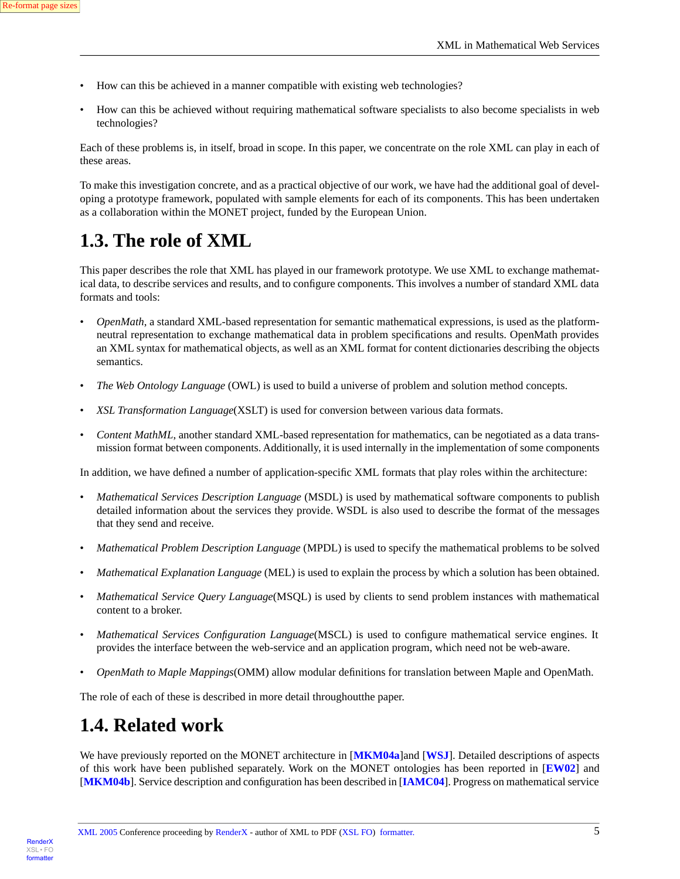- How can this be achieved in a manner compatible with existing web technologies?
- How can this be achieved without requiring mathematical software specialists to also become specialists in web technologies?

Each of these problems is, in itself, broad in scope. In this paper, we concentrate on the role XML can play in each of these areas.

<span id="page-4-0"></span>To make this investigation concrete, and as a practical objective of our work, we have had the additional goal of developing a prototype framework, populated with sample elements for each of its components. This has been undertaken as a collaboration within the MONET project, funded by the European Union.

### **1.3. The role of XML**

This paper describes the role that XML has played in our framework prototype. We use XML to exchange mathematical data, to describe services and results, and to configure components. This involves a number of standard XML data formats and tools:

- *OpenMath*, a standard XML-based representation for semantic mathematical expressions, is used as the platformneutral representation to exchange mathematical data in problem specifications and results. OpenMath provides an XML syntax for mathematical objects, as well as an XML format for content dictionaries describing the objects semantics.
- *The Web Ontology Language* (OWL) is used to build a universe of problem and solution method concepts.
- *XSL Transformation Language*(XSLT) is used for conversion between various data formats.
- *Content MathML*, another standard XML-based representation for mathematics, can be negotiated as a data transmission format between components. Additionally, it is used internally in the implementation of some components

In addition, we have defined a number of application-specific XML formats that play roles within the architecture:

- *Mathematical Services Description Language* (MSDL) is used by mathematical software components to publish detailed information about the services they provide. WSDL is also used to describe the format of the messages that they send and receive.
- *Mathematical Problem Description Language* (MPDL) is used to specify the mathematical problems to be solved
- *Mathematical Explanation Language* (MEL) is used to explain the process by which a solution has been obtained.
- *Mathematical Service Query Language*(MSQL) is used by clients to send problem instances with mathematical content to a broker.
- <span id="page-4-1"></span>• *Mathematical Services Configuration Language*(MSCL) is used to configure mathematical service engines. It provides the interface between the web-service and an application program, which need not be web-aware.
- *OpenMath to Maple Mappings*(OMM) allow modular definitions for translation between Maple and OpenMath.

The role of each of these is described in more detail throughoutthe paper.

### **1.4. Related work**

We have previously reported on the MONET architecture in [**[MKM04a](#page-26-0)**]and [**[WSJ](#page-27-0)**]. Detailed descriptions of aspects of this work have been published separately. Work on the MONET ontologies has been reported in [**[EW02](#page-26-1)**] and [**[MKM04b](#page-26-2)**]. Service description and configuration has been described in [**[IAMC04](#page-26-3)**]. Progress on mathematical service

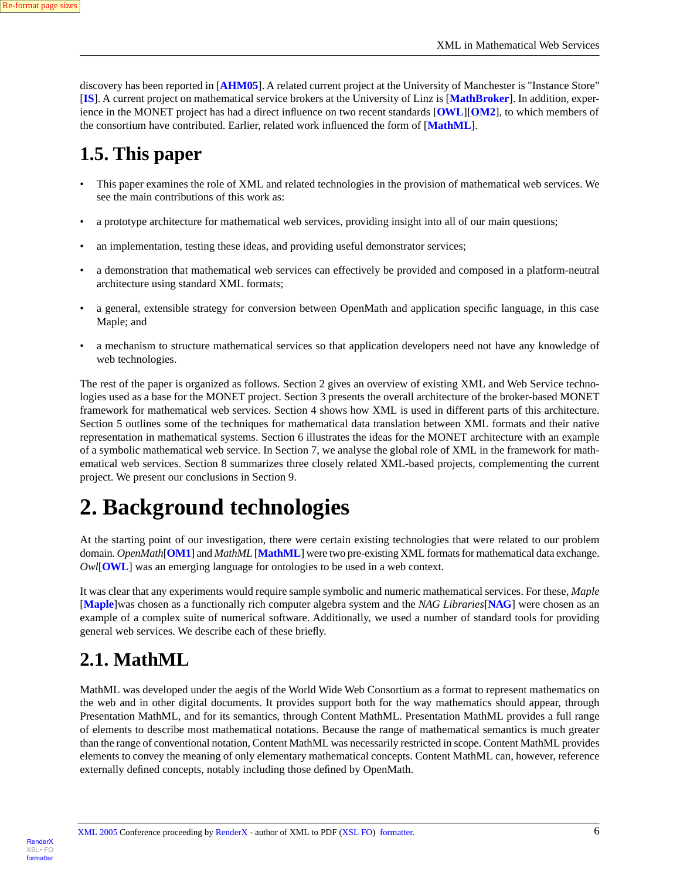discovery has been reported in [**[AHM05](#page-26-4)**]. A related current project at the University of Manchester is "Instance Store" [**[IS](#page-26-5)**]. A current project on mathematical service brokers at the University of Linz is [**[MathBroker](#page-26-6)**]. In addition, experience in the MONET project has had a direct influence on two recent standards [**[OWL](#page-27-1)**][**[OM2](#page-27-2)**], to which members of the consortium have contributed. Earlier, related work influenced the form of [**[MathML](#page-26-7)**].

### <span id="page-5-0"></span>**1.5. This paper**

- This paper examines the role of XML and related technologies in the provision of mathematical web services. We see the main contributions of this work as:
- a prototype architecture for mathematical web services, providing insight into all of our main questions;
- an implementation, testing these ideas, and providing useful demonstrator services;
- a demonstration that mathematical web services can effectively be provided and composed in a platform-neutral architecture using standard XML formats;
- a general, extensible strategy for conversion between OpenMath and application specific language, in this case Maple; and
- a mechanism to structure mathematical services so that application developers need not have any knowledge of web technologies.

<span id="page-5-1"></span>The rest of the paper is organized as follows. Section 2 gives an overview of existing XML and Web Service technologies used as a base for the MONET project. Section 3 presents the overall architecture of the broker-based MONET framework for mathematical web services. Section 4 shows how XML is used in different parts of this architecture. Section 5 outlines some of the techniques for mathematical data translation between XML formats and their native representation in mathematical systems. Section 6 illustrates the ideas for the MONET architecture with an example of a symbolic mathematical web service. In Section 7, we analyse the global role of XML in the framework for mathematical web services. Section 8 summarizes three closely related XML-based projects, complementing the current project. We present our conclusions in Section 9.

# **2. Background technologies**

At the starting point of our investigation, there were certain existing technologies that were related to our problem domain. *OpenMath*[**[OM1](#page-26-8)**] and *MathML* [**[MathML](#page-26-7)**] were two pre-existing XML formats for mathematical data exchange. *Owl*[**[OWL](#page-27-1)**] was an emerging language for ontologies to be used in a web context.

<span id="page-5-2"></span>It was clear that any experiments would require sample symbolic and numeric mathematical services. For these, *Maple* [**[Maple](#page-26-9)**]was chosen as a functionally rich computer algebra system and the *NAG Libraries*[**[NAG](#page-26-10)**] were chosen as an example of a complex suite of numerical software. Additionally, we used a number of standard tools for providing general web services. We describe each of these briefly.

### **2.1. MathML**

MathML was developed under the aegis of the World Wide Web Consortium as a format to represent mathematics on the web and in other digital documents. It provides support both for the way mathematics should appear, through Presentation MathML, and for its semantics, through Content MathML. Presentation MathML provides a full range of elements to describe most mathematical notations. Because the range of mathematical semantics is much greater than the range of conventional notation, Content MathML was necessarily restricted in scope. Content MathML provides elements to convey the meaning of only elementary mathematical concepts. Content MathML can, however, reference externally defined concepts, notably including those defined by OpenMath.

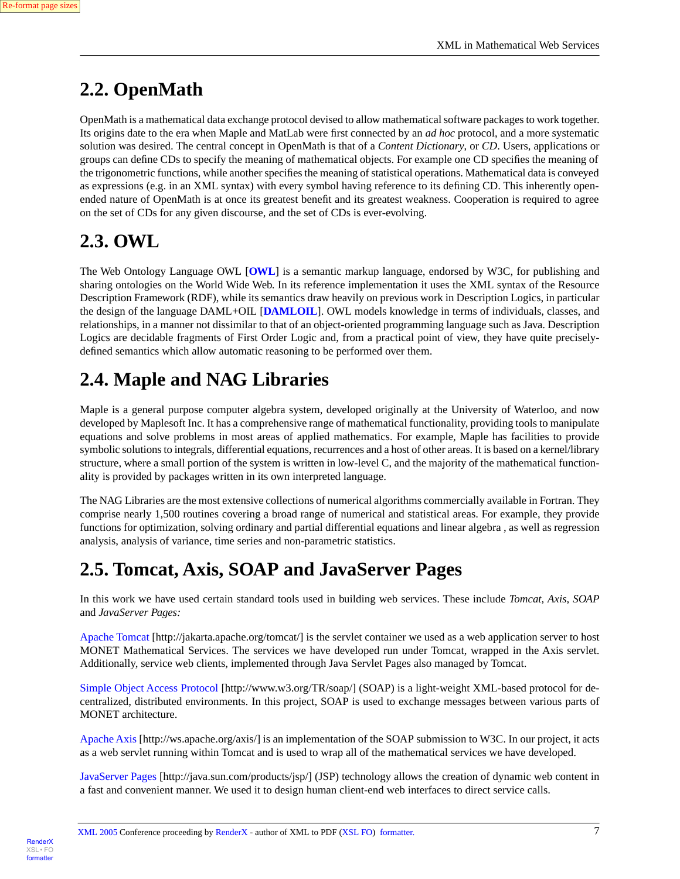## <span id="page-6-0"></span>**2.2. OpenMath**

OpenMath is a mathematical data exchange protocol devised to allow mathematical software packages to work together. Its origins date to the era when Maple and MatLab were first connected by an *ad hoc* protocol, and a more systematic solution was desired. The central concept in OpenMath is that of a *Content Dictionary*, or *CD*. Users, applications or groups can define CDs to specify the meaning of mathematical objects. For example one CD specifies the meaning of the trigonometric functions, while another specifies the meaning of statistical operations. Mathematical data is conveyed as expressions (e.g. in an XML syntax) with every symbol having reference to its defining CD. This inherently openended nature of OpenMath is at once its greatest benefit and its greatest weakness. Cooperation is required to agree on the set of CDs for any given discourse, and the set of CDs is ever-evolving.

## <span id="page-6-1"></span>**2.3. OWL**

The Web Ontology Language OWL [**[OWL](#page-27-1)**] is a semantic markup language, endorsed by W3C, for publishing and sharing ontologies on the World Wide Web. In its reference implementation it uses the XML syntax of the Resource Description Framework (RDF), while its semantics draw heavily on previous work in Description Logics, in particular the design of the language DAML+OIL [**[DAMLOIL](#page-26-11)**]. OWL models knowledge in terms of individuals, classes, and relationships, in a manner not dissimilar to that of an object-oriented programming language such as Java. Description Logics are decidable fragments of First Order Logic and, from a practical point of view, they have quite preciselydefined semantics which allow automatic reasoning to be performed over them.

## <span id="page-6-2"></span>**2.4. Maple and NAG Libraries**

Maple is a general purpose computer algebra system, developed originally at the University of Waterloo, and now developed by Maplesoft Inc. It has a comprehensive range of mathematical functionality, providing tools to manipulate equations and solve problems in most areas of applied mathematics. For example, Maple has facilities to provide symbolic solutions to integrals, differential equations, recurrences and a host of other areas. It is based on a kernel/library structure, where a small portion of the system is written in low-level C, and the majority of the mathematical functionality is provided by packages written in its own interpreted language.

<span id="page-6-3"></span>The NAG Libraries are the most extensive collections of numerical algorithms commercially available in Fortran. They comprise nearly 1,500 routines covering a broad range of numerical and statistical areas. For example, they provide functions for optimization, solving ordinary and partial differential equations and linear algebra , as well as regression analysis, analysis of variance, time series and non-parametric statistics.

## **2.5. Tomcat, Axis, SOAP and JavaServer Pages**

In this work we have used certain standard tools used in building web services. These include *Tomcat, Axis, SOAP* and *JavaServer Pages:*

[Apache Tomcat](http://jakarta.apache.org/tomcat/) [http://jakarta.apache.org/tomcat/] is the servlet container we used as a web application server to host MONET Mathematical Services. The services we have developed run under Tomcat, wrapped in the Axis servlet. Additionally, service web clients, implemented through Java Servlet Pages also managed by Tomcat.

[Simple Object Access Protocol](http://www.w3.org/TR/soap/) [http://www.w3.org/TR/soap/] (SOAP) is a light-weight XML-based protocol for decentralized, distributed environments. In this project, SOAP is used to exchange messages between various parts of MONET architecture.

[Apache Axis](http://ws.apache.org/axis/) [http://ws.apache.org/axis/] is an implementation of the SOAP submission to W3C. In our project, it acts as a web servlet running within Tomcat and is used to wrap all of the mathematical services we have developed.

[JavaServer Pages](http://java.sun.com/products/jsp/) [http://java.sun.com/products/jsp/] (JSP) technology allows the creation of dynamic web content in a fast and convenient manner. We used it to design human client-end web interfaces to direct service calls.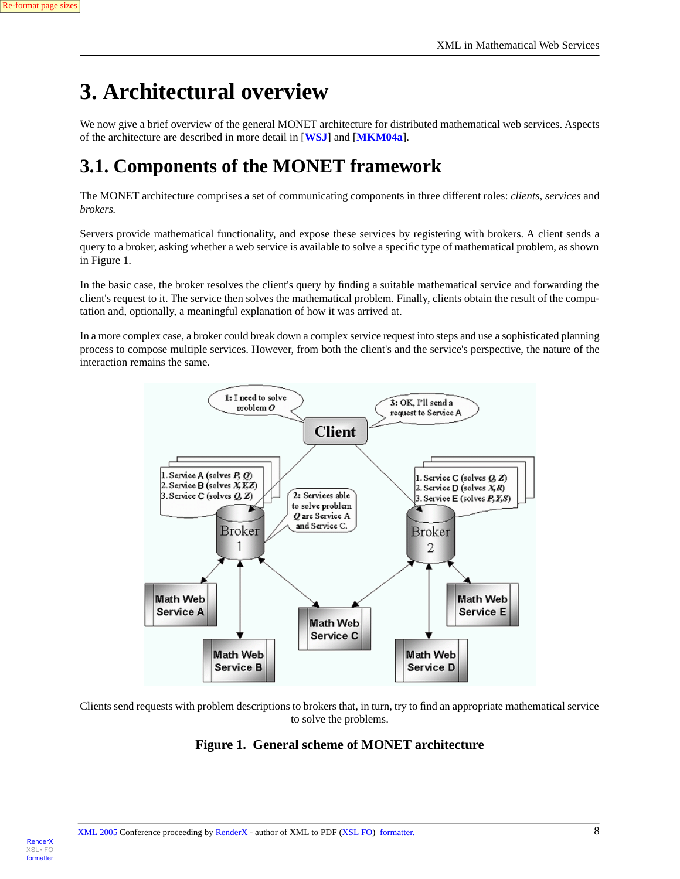**Render**X

[XSL•](http://www.google.com/search?q=http://www.w3.org/Style/XSL&btnI=I%27m+Feeling+Lucky) FO formatte

# <span id="page-7-0"></span>**3. Architectural overview**

<span id="page-7-1"></span>We now give a brief overview of the general MONET architecture for distributed mathematical web services. Aspects of the architecture are described in more detail in [**[WSJ](#page-27-0)**] and [**[MKM04a](#page-26-0)**].

## **3.1. Components of the MONET framework**

The MONET architecture comprises a set of communicating components in three different roles: *clients*, *services* and *brokers.*

Servers provide mathematical functionality, and expose these services by registering with brokers. A client sends a query to a broker, asking whether a web service is available to solve a specific type of mathematical problem, as shown in Figure 1.

In the basic case, the broker resolves the client's query by finding a suitable mathematical service and forwarding the client's request to it. The service then solves the mathematical problem. Finally, clients obtain the result of the computation and, optionally, a meaningful explanation of how it was arrived at.

In a more complex case, a broker could break down a complex service request into steps and use a sophisticated planning process to compose multiple services. However, from both the client's and the service's perspective, the nature of the interaction remains the same.



Clients send requests with problem descriptions to brokers that, in turn, try to find an appropriate mathematical service to solve the problems.

#### **Figure 1. General scheme of MONET architecture**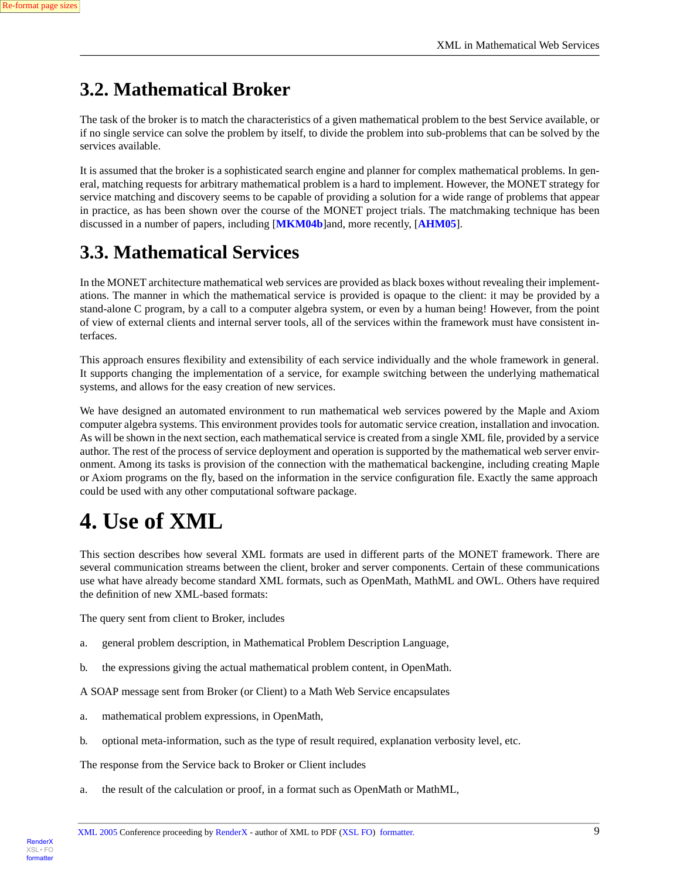[RenderX](http://www.google.com/search?q=http://www.renderx.com&btnI=I%27m+Feeling+Lucky)

[XSL•](http://www.google.com/search?q=http://www.w3.org/Style/XSL&btnI=I%27m+Feeling+Lucky) FO formatte

## <span id="page-8-0"></span>**3.2. Mathematical Broker**

The task of the broker is to match the characteristics of a given mathematical problem to the best Service available, or if no single service can solve the problem by itself, to divide the problem into sub-problems that can be solved by the services available.

It is assumed that the broker is a sophisticated search engine and planner for complex mathematical problems. In general, matching requests for arbitrary mathematical problem is a hard to implement. However, the MONET strategy for service matching and discovery seems to be capable of providing a solution for a wide range of problems that appear in practice, as has been shown over the course of the MONET project trials. The matchmaking technique has been discussed in a number of papers, including [**[MKM04b](#page-26-2)**]and, more recently, [**[AHM05](#page-26-4)**].

# <span id="page-8-1"></span>**3.3. Mathematical Services**

In the MONET architecture mathematical web services are provided as black boxes without revealing their implementations. The manner in which the mathematical service is provided is opaque to the client: it may be provided by a stand-alone C program, by a call to a computer algebra system, or even by a human being! However, from the point of view of external clients and internal server tools, all of the services within the framework must have consistent interfaces.

This approach ensures flexibility and extensibility of each service individually and the whole framework in general. It supports changing the implementation of a service, for example switching between the underlying mathematical systems, and allows for the easy creation of new services.

<span id="page-8-2"></span>We have designed an automated environment to run mathematical web services powered by the Maple and Axiom computer algebra systems. This environment provides tools for automatic service creation, installation and invocation. As will be shown in the next section, each mathematical service is created from a single XML file, provided by a service author. The rest of the process of service deployment and operation is supported by the mathematical web server environment. Among its tasks is provision of the connection with the mathematical backengine, including creating Maple or Axiom programs on the fly, based on the information in the service configuration file. Exactly the same approach could be used with any other computational software package.

# **4. Use of XML**

This section describes how several XML formats are used in different parts of the MONET framework. There are several communication streams between the client, broker and server components. Certain of these communications use what have already become standard XML formats, such as OpenMath, MathML and OWL. Others have required the definition of new XML-based formats:

The query sent from client to Broker, includes

- a. general problem description, in Mathematical Problem Description Language,
- b. the expressions giving the actual mathematical problem content, in OpenMath.

A SOAP message sent from Broker (or Client) to a Math Web Service encapsulates

- a. mathematical problem expressions, in OpenMath,
- b. optional meta-information, such as the type of result required, explanation verbosity level, etc.

The response from the Service back to Broker or Client includes

a. the result of the calculation or proof, in a format such as OpenMath or MathML,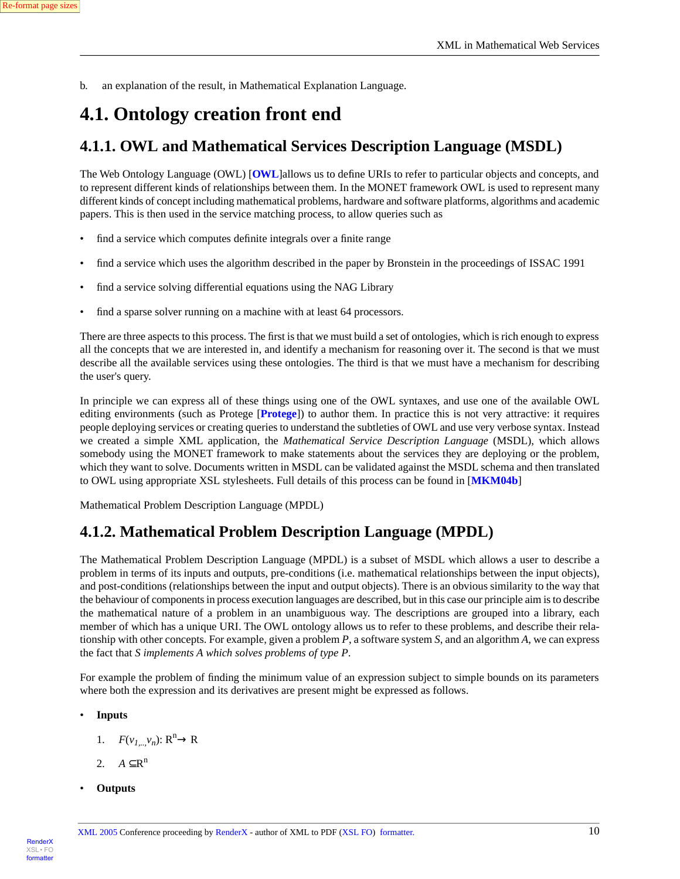b. an explanation of the result, in Mathematical Explanation Language.

### <span id="page-9-1"></span><span id="page-9-0"></span>**4.1. Ontology creation front end**

#### **4.1.1. OWL and Mathematical Services Description Language (MSDL)**

The Web Ontology Language (OWL) [**[OWL](#page-27-1)**]allows us to define URIs to refer to particular objects and concepts, and to represent different kinds of relationships between them. In the MONET framework OWL is used to represent many different kinds of concept including mathematical problems, hardware and software platforms, algorithms and academic papers. This is then used in the service matching process, to allow queries such as

- find a service which computes definite integrals over a finite range
- find a service which uses the algorithm described in the paper by Bronstein in the proceedings of ISSAC 1991
- find a service solving differential equations using the NAG Library
- find a sparse solver running on a machine with at least 64 processors.

There are three aspects to this process. The first is that we must build a set of ontologies, which is rich enough to express all the concepts that we are interested in, and identify a mechanism for reasoning over it. The second is that we must describe all the available services using these ontologies. The third is that we must have a mechanism for describing the user's query.

In principle we can express all of these things using one of the OWL syntaxes, and use one of the available OWL editing environments (such as Protege [**[Protege](#page-27-3)**]) to author them. In practice this is not very attractive: it requires people deploying services or creating queries to understand the subtleties of OWL and use very verbose syntax. Instead we created a simple XML application, the *Mathematical Service Description Language* (MSDL), which allows somebody using the MONET framework to make statements about the services they are deploying or the problem, which they want to solve. Documents written in MSDL can be validated against the MSDL schema and then translated to OWL using appropriate XSL stylesheets. Full details of this process can be found in [**[MKM04b](#page-26-2)**]

<span id="page-9-2"></span>Mathematical Problem Description Language (MPDL)

#### **4.1.2. Mathematical Problem Description Language (MPDL)**

The Mathematical Problem Description Language (MPDL) is a subset of MSDL which allows a user to describe a problem in terms of its inputs and outputs, pre-conditions (i.e. mathematical relationships between the input objects), and post-conditions (relationships between the input and output objects). There is an obvious similarity to the way that the behaviour of components in process execution languages are described, but in this case our principle aim is to describe the mathematical nature of a problem in an unambiguous way. The descriptions are grouped into a library, each member of which has a unique URI. The OWL ontology allows us to refer to these problems, and describe their relationship with other concepts. For example, given a problem *P*, a software system *S*, and an algorithm *A*, we can express the fact that *S implements A which solves problems of type P*.

For example the problem of finding the minimum value of an expression subject to simple bounds on its parameters where both the expression and its derivatives are present might be expressed as follows.

- **Inputs**
	- 1.  $F(v_{1,..,}v_n): \mathbb{R}^n \to \mathbb{R}$
	- 2.  $A \subseteq \mathbb{R}^n$
- **Outputs**

[RenderX](http://www.google.com/search?q=http://www.renderx.com&btnI=I%27m+Feeling+Lucky)

[XSL•](http://www.google.com/search?q=http://www.w3.org/Style/XSL&btnI=I%27m+Feeling+Lucky) FO formatte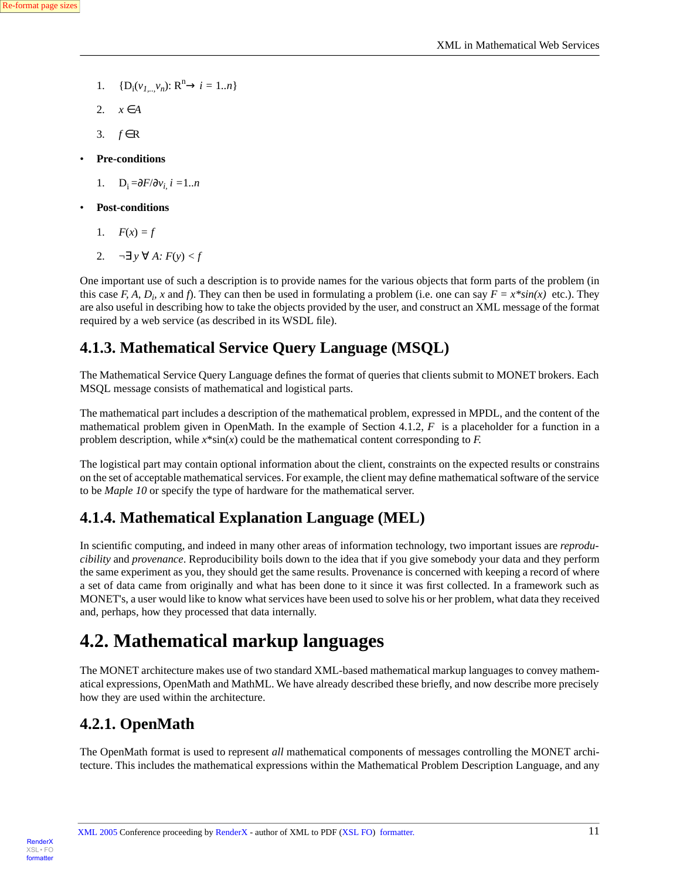- 1.  ${D_i(v_{1,..,}v_n): R^n \to i = 1..n}$
- 2.  $x \in A$
- 3. *f* ∈R
- **Pre-conditions**
	- 1.  $D_i = \frac{\partial F}{\partial v_i}$ *i* = 1..*n*
- **Post-conditions**
	- 1.  $F(x) = f$
	- 2.  $\neg \exists y \forall A: F(y) < f$

<span id="page-10-0"></span>One important use of such a description is to provide names for the various objects that form parts of the problem (in this case *F, A,*  $D_i$ *, x* and *f*). They can then be used in formulating a problem (i.e. one can say  $F = x^*sin(x)$  etc.). They are also useful in describing how to take the objects provided by the user, and construct an XML message of the format required by a web service (as described in its WSDL file).

#### **4.1.3. Mathematical Service Query Language (MSQL)**

The Mathematical Service Query Language defines the format of queries that clients submit to MONET brokers. Each MSQL message consists of mathematical and logistical parts.

The mathematical part includes a description of the mathematical problem, expressed in MPDL, and the content of the mathematical problem given in OpenMath. In the example of Section 4.1.2, *F* is a placeholder for a function in a problem description, while *x*\*sin(*x*) could be the mathematical content corresponding to *F.*

<span id="page-10-1"></span>The logistical part may contain optional information about the client, constraints on the expected results or constrains on the set of acceptable mathematical services. For example, the client may define mathematical software of the service to be *Maple 10* or specify the type of hardware for the mathematical server.

### **4.1.4. Mathematical Explanation Language (MEL)**

<span id="page-10-2"></span>In scientific computing, and indeed in many other areas of information technology, two important issues are *reproducibility* and *provenance*. Reproducibility boils down to the idea that if you give somebody your data and they perform the same experiment as you, they should get the same results. Provenance is concerned with keeping a record of where a set of data came from originally and what has been done to it since it was first collected. In a framework such as MONET's, a user would like to know what services have been used to solve his or her problem, what data they received and, perhaps, how they processed that data internally.

### <span id="page-10-3"></span>**4.2. Mathematical markup languages**

The MONET architecture makes use of two standard XML-based mathematical markup languages to convey mathematical expressions, OpenMath and MathML. We have already described these briefly, and now describe more precisely how they are used within the architecture.

### **4.2.1. OpenMath**

The OpenMath format is used to represent *all* mathematical components of messages controlling the MONET architecture. This includes the mathematical expressions within the Mathematical Problem Description Language, and any

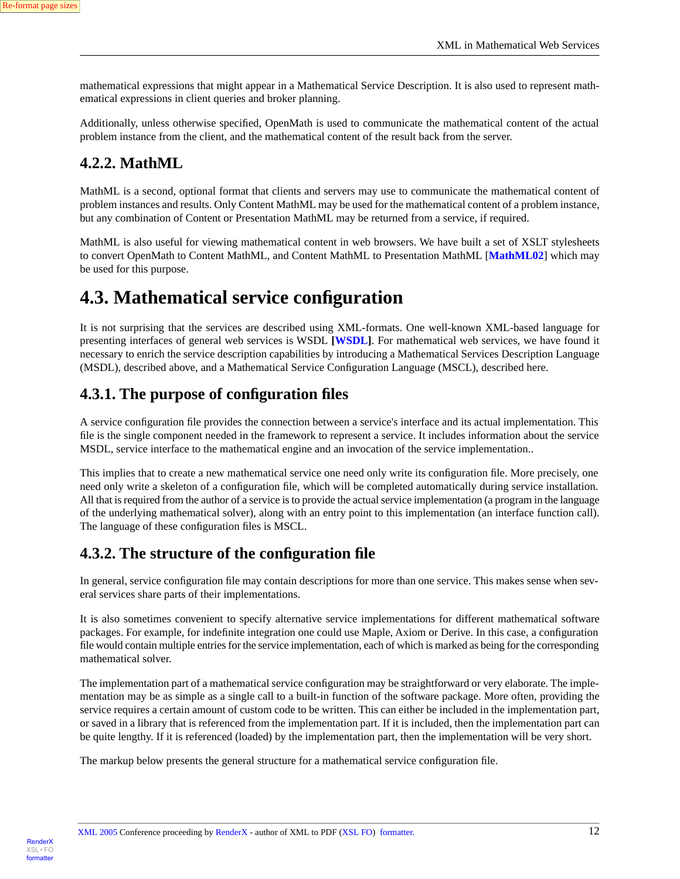mathematical expressions that might appear in a Mathematical Service Description. It is also used to represent mathematical expressions in client queries and broker planning.

<span id="page-11-0"></span>Additionally, unless otherwise specified, OpenMath is used to communicate the mathematical content of the actual problem instance from the client, and the mathematical content of the result back from the server.

#### **4.2.2. MathML**

MathML is a second, optional format that clients and servers may use to communicate the mathematical content of problem instances and results. Only Content MathML may be used for the mathematical content of a problem instance, but any combination of Content or Presentation MathML may be returned from a service, if required.

<span id="page-11-1"></span>MathML is also useful for viewing mathematical content in web browsers. We have built a set of XSLT stylesheets to convert OpenMath to Content MathML, and Content MathML to Presentation MathML [**[MathML02](#page-26-12)**] which may be used for this purpose.

### **4.3. Mathematical service configuration**

<span id="page-11-2"></span>It is not surprising that the services are described using XML-formats. One well-known XML-based language for presenting interfaces of general web services is WSDL **[[WSDL](#page-27-4)]**. For mathematical web services, we have found it necessary to enrich the service description capabilities by introducing a Mathematical Services Description Language (MSDL), described above, and a Mathematical Service Configuration Language (MSCL), described here.

#### **4.3.1. The purpose of configuration files**

A service configuration file provides the connection between a service's interface and its actual implementation. This file is the single component needed in the framework to represent a service. It includes information about the service MSDL, service interface to the mathematical engine and an invocation of the service implementation..

<span id="page-11-3"></span>This implies that to create a new mathematical service one need only write its configuration file. More precisely, one need only write a skeleton of a configuration file, which will be completed automatically during service installation. All that is required from the author of a service is to provide the actual service implementation (a program in the language of the underlying mathematical solver), along with an entry point to this implementation (an interface function call). The language of these configuration files is MSCL.

#### **4.3.2. The structure of the configuration file**

In general, service configuration file may contain descriptions for more than one service. This makes sense when several services share parts of their implementations.

It is also sometimes convenient to specify alternative service implementations for different mathematical software packages. For example, for indefinite integration one could use Maple, Axiom or Derive. In this case, a configuration file would contain multiple entries for the service implementation, each of which is marked as being for the corresponding mathematical solver.

The implementation part of a mathematical service configuration may be straightforward or very elaborate. The implementation may be as simple as a single call to a built-in function of the software package. More often, providing the service requires a certain amount of custom code to be written. This can either be included in the implementation part, or saved in a library that is referenced from the implementation part. If it is included, then the implementation part can be quite lengthy. If it is referenced (loaded) by the implementation part, then the implementation will be very short.

The markup below presents the general structure for a mathematical service configuration file.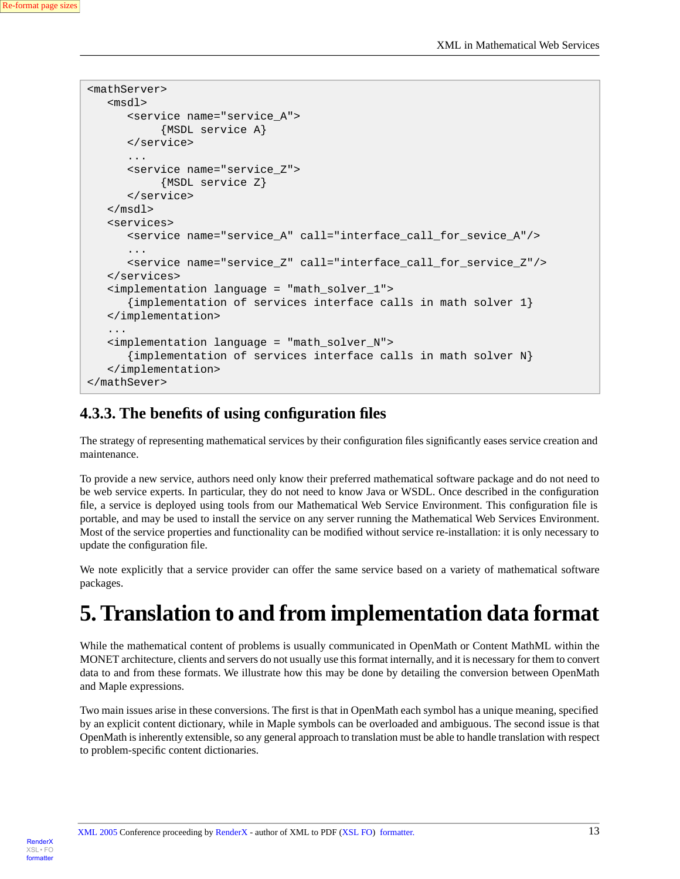```
<mathServer>
    <msdl>
       <service name="service_A">
            {MSDL service A}
       </service>
       ...
       <service name="service_Z">
            {MSDL service Z}
       </service>
    </msdl>
    <services>
       <service name="service_A" call="interface_call_for_sevice_A"/>
       ... 
       <service name="service_Z" call="interface_call_for_service_Z"/>
    </services>
    <implementation language = "math_solver_1">
       {implementation of services interface calls in math solver 1}
    </implementation>
    ... 
    <implementation language = "math_solver_N">
       {implementation of services interface calls in math solver N}
    </implementation>
</mathSever>
```
#### <span id="page-12-0"></span>**4.3.3. The benefits of using configuration files**

The strategy of representing mathematical services by their configuration files significantly eases service creation and maintenance.

To provide a new service, authors need only know their preferred mathematical software package and do not need to be web service experts. In particular, they do not need to know Java or WSDL. Once described in the configuration file, a service is deployed using tools from our Mathematical Web Service Environment. This configuration file is portable, and may be used to install the service on any server running the Mathematical Web Services Environment. Most of the service properties and functionality can be modified without service re-installation: it is only necessary to update the configuration file.

<span id="page-12-1"></span>We note explicitly that a service provider can offer the same service based on a variety of mathematical software packages.

## **5. Translation to and from implementation data format**

While the mathematical content of problems is usually communicated in OpenMath or Content MathML within the MONET architecture, clients and servers do not usually use this format internally, and it is necessary for them to convert data to and from these formats. We illustrate how this may be done by detailing the conversion between OpenMath and Maple expressions.

Two main issues arise in these conversions. The first is that in OpenMath each symbol has a unique meaning, specified by an explicit content dictionary, while in Maple symbols can be overloaded and ambiguous. The second issue is that OpenMath is inherently extensible, so any general approach to translation must be able to handle translation with respect to problem-specific content dictionaries.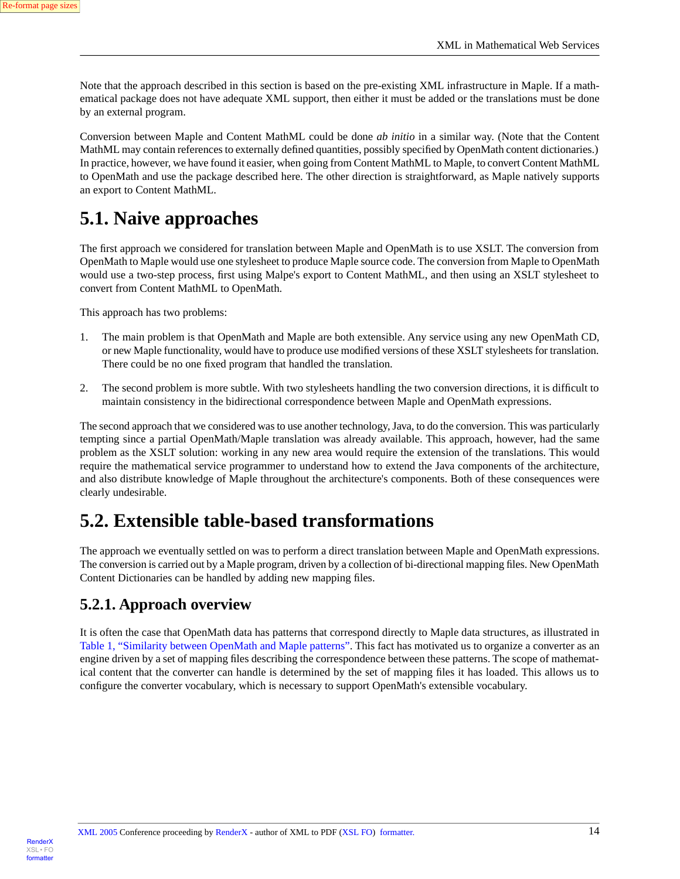Note that the approach described in this section is based on the pre-existing XML infrastructure in Maple. If a mathematical package does not have adequate XML support, then either it must be added or the translations must be done by an external program.

Conversion between Maple and Content MathML could be done *ab initio* in a similar way. (Note that the Content MathML may contain references to externally defined quantities, possibly specified by OpenMath content dictionaries.) In practice, however, we have found it easier, when going from Content MathML to Maple, to convert Content MathML to OpenMath and use the package described here. The other direction is straightforward, as Maple natively supports an export to Content MathML.

### <span id="page-13-0"></span>**5.1. Naive approaches**

The first approach we considered for translation between Maple and OpenMath is to use XSLT. The conversion from OpenMath to Maple would use one stylesheet to produce Maple source code. The conversion from Maple to OpenMath would use a two-step process, first using Malpe's export to Content MathML, and then using an XSLT stylesheet to convert from Content MathML to OpenMath.

This approach has two problems:

- 1. The main problem is that OpenMath and Maple are both extensible. Any service using any new OpenMath CD, or new Maple functionality, would have to produce use modified versions of these XSLT stylesheets for translation. There could be no one fixed program that handled the translation.
- 2. The second problem is more subtle. With two stylesheets handling the two conversion directions, it is difficult to maintain consistency in the bidirectional correspondence between Maple and OpenMath expressions.

<span id="page-13-1"></span>The second approach that we considered was to use another technology, Java, to do the conversion. This was particularly tempting since a partial OpenMath/Maple translation was already available. This approach, however, had the same problem as the XSLT solution: working in any new area would require the extension of the translations. This would require the mathematical service programmer to understand how to extend the Java components of the architecture, and also distribute knowledge of Maple throughout the architecture's components. Both of these consequences were clearly undesirable.

### <span id="page-13-2"></span>**5.2. Extensible table-based transformations**

The approach we eventually settled on was to perform a direct translation between Maple and OpenMath expressions. The conversion is carried out by a Maple program, driven by a collection of bi-directional mapping files. New OpenMath Content Dictionaries can be handled by adding new mapping files.

#### **5.2.1. Approach overview**

It is often the case that OpenMath data has patterns that correspond directly to Maple data structures, as illustrated in [Table 1, "Similarity between OpenMath and Maple patterns"](#page-14-1). This fact has motivated us to organize a converter as an engine driven by a set of mapping files describing the correspondence between these patterns. The scope of mathematical content that the converter can handle is determined by the set of mapping files it has loaded. This allows us to configure the converter vocabulary, which is necessary to support OpenMath's extensible vocabulary.

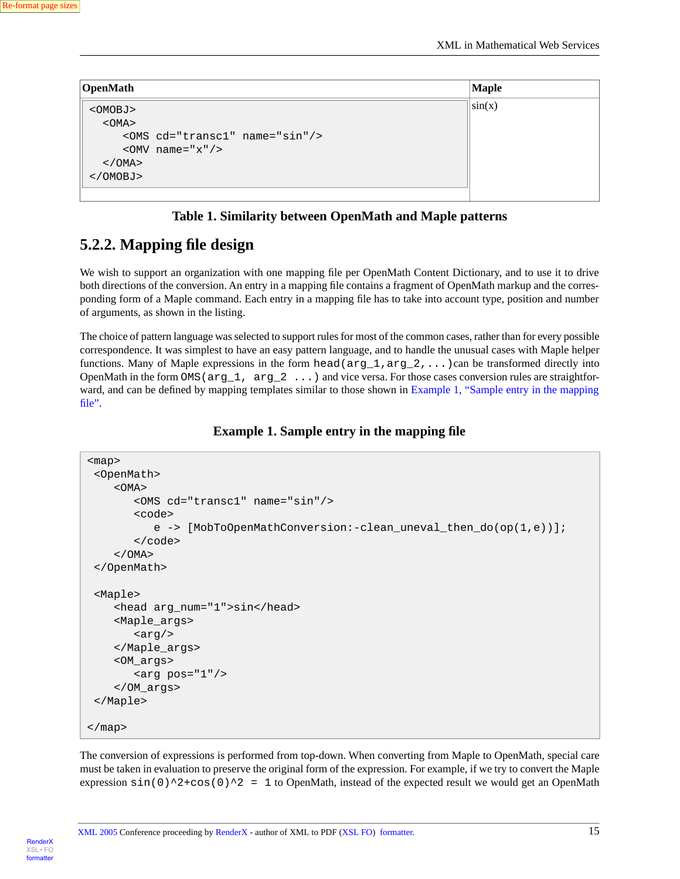<span id="page-14-1"></span>

| OpenMath      |                                     | <b>Maple</b> |
|---------------|-------------------------------------|--------------|
| $<$ OMOBJ $>$ |                                     | $\sin(x)$    |
| $<$ OMA $>$   |                                     |              |
|               | <oms cd="transc1" name="sin"></oms> |              |
|               | < $\text{OMV}$ name="x"/>           |              |
| $<$ / OMA $>$ |                                     |              |
| $<$ /OMOBJ>   |                                     |              |
|               |                                     |              |

#### **Table 1. Similarity between OpenMath and Maple patterns**

#### <span id="page-14-0"></span>**5.2.2. Mapping file design**

We wish to support an organization with one mapping file per OpenMath Content Dictionary, and to use it to drive both directions of the conversion. An entry in a mapping file contains a fragment of OpenMath markup and the corresponding form of a Maple command. Each entry in a mapping file has to take into account type, position and number of arguments, as shown in the listing.

<span id="page-14-2"></span>The choice of pattern language was selected to support rules for most of the common cases, rather than for every possible correspondence. It was simplest to have an easy pattern language, and to handle the unusual cases with Maple helper functions. Many of Maple expressions in the form head  $(\text{arg}_1, \text{arg}_2, \ldots)$  can be transformed directly into OpenMath in the form OMS ( $arg_1$ ,  $arg_2$  ...) and vice versa. For those cases conversion rules are straightfor-ward, and can be defined by mapping templates similar to those shown in [Example 1, "Sample entry in the mapping](#page-14-2) [file"](#page-14-2).

#### **Example 1. Sample entry in the mapping file**

```
<map>
  <OpenMath>
     <OMA>
         <OMS cd="transc1" name="sin"/>
        scode></code>
            e -> [MobroOpenMathConversion:-cleanuneval then do(op(1,e))];
        </code>
    </OMA </OpenMath>
  <Maple>
     <head arg_num="1">sin</head>
     <Maple_args>
        \langle \text{arg}/\rangle </Maple_args>
     <OM_args>
        \langle \arg pos = "1" \rangle </OM_args>
  </Maple>
</map>
```
The conversion of expressions is performed from top-down. When converting from Maple to OpenMath, special care must be taken in evaluation to preserve the original form of the expression. For example, if we try to convert the Maple expression  $\sin(0)$ <sup>2+cos(0)</sub><sup>2</sup> = 1 to OpenMath, instead of the expected result we would get an OpenMath</sup>

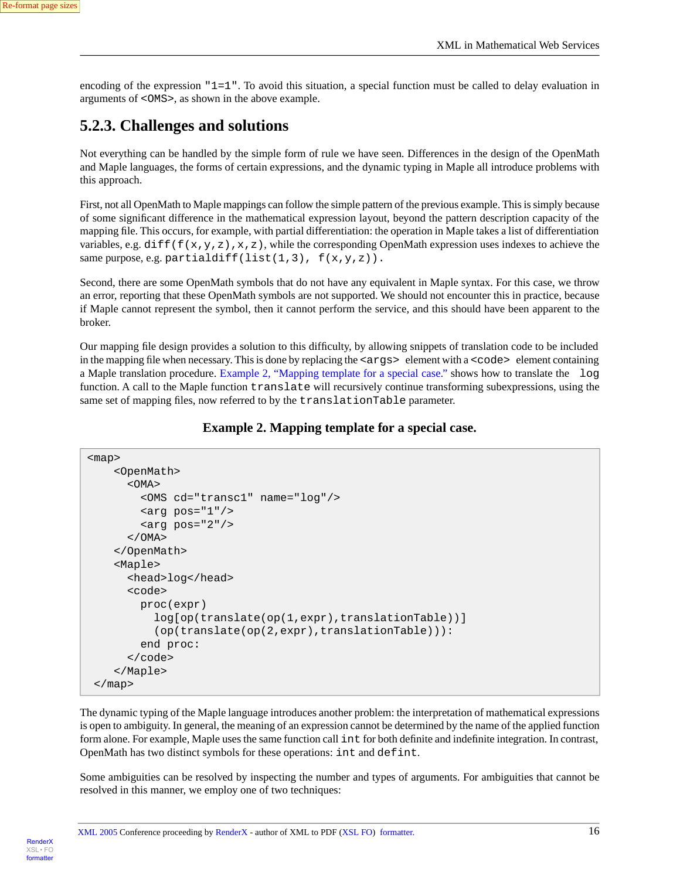<span id="page-15-0"></span>encoding of the expression  $"1=1"$ . To avoid this situation, a special function must be called to delay evaluation in arguments of <OMS>, as shown in the above example.

#### **5.2.3. Challenges and solutions**

Not everything can be handled by the simple form of rule we have seen. Differences in the design of the OpenMath and Maple languages, the forms of certain expressions, and the dynamic typing in Maple all introduce problems with this approach.

First, not all OpenMath to Maple mappings can follow the simple pattern of the previous example. This is simply because of some significant difference in the mathematical expression layout, beyond the pattern description capacity of the mapping file. This occurs, for example, with partial differentiation: the operation in Maple takes a list of differentiation variables, e.g. diff(f(x,y,z),x,z), while the corresponding OpenMath expression uses indexes to achieve the same purpose, e.g. partialdiff(list(1,3),  $f(x,y,z)$ ).

Second, there are some OpenMath symbols that do not have any equivalent in Maple syntax. For this case, we throw an error, reporting that these OpenMath symbols are not supported. We should not encounter this in practice, because if Maple cannot represent the symbol, then it cannot perform the service, and this should have been apparent to the broker.

<span id="page-15-1"></span>Our mapping file design provides a solution to this difficulty, by allowing snippets of translation code to be included in the mapping file when necessary. This is done by replacing the  $\langle \text{args} \rangle$  element with a  $\langle \text{code} \rangle$  element containing a Maple translation procedure. [Example 2, "Mapping template for a special case."](#page-15-1) shows how to translate the log function. A call to the Maple function translate will recursively continue transforming subexpressions, using the same set of mapping files, now referred to by the translationTable parameter.

#### **Example 2. Mapping template for a special case.**

```
<map>
      <OpenMath>
       < OMA > <OMS cd="transc1" name="log"/>
          \langle \text{arg pos} = "1" / \rangle\langle \text{arg pos} = "2" \rangle</OMA </OpenMath>
      <Maple>
        <head>log</head>
       scode></code>
           proc(expr)
              log[op(translate(op(1,expr),translationTable))]
              (op(translate(op(2,expr),translationTable))):
           end proc:
       \langle / \langle code>
      </Maple>
  </map>
```
The dynamic typing of the Maple language introduces another problem: the interpretation of mathematical expressions is open to ambiguity. In general, the meaning of an expression cannot be determined by the name of the applied function form alone. For example, Maple uses the same function call int for both definite and indefinite integration. In contrast, OpenMath has two distinct symbols for these operations: int and defint.

Some ambiguities can be resolved by inspecting the number and types of arguments. For ambiguities that cannot be resolved in this manner, we employ one of two techniques:

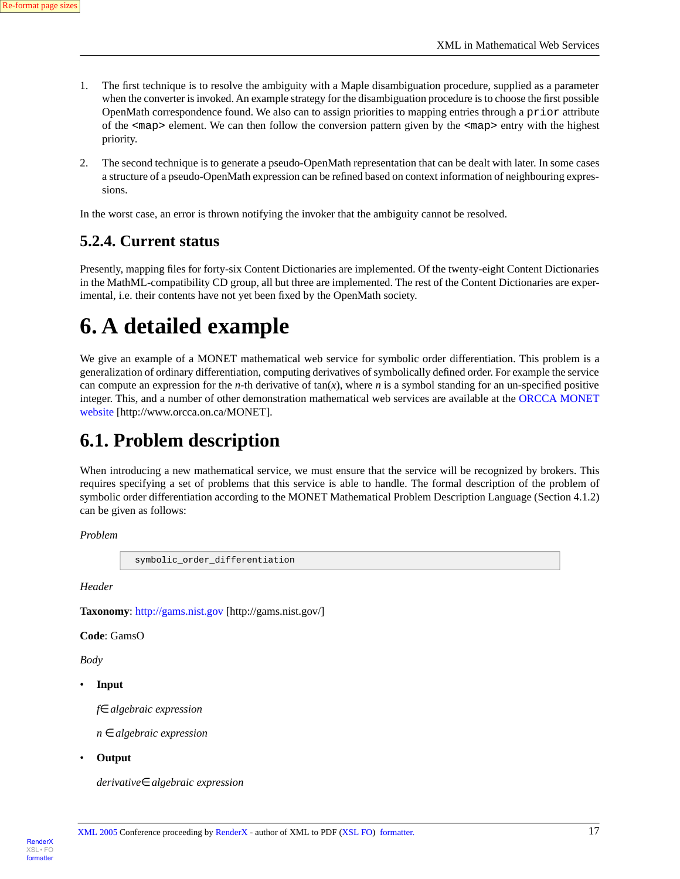- 1. The first technique is to resolve the ambiguity with a Maple disambiguation procedure, supplied as a parameter when the converter is invoked. An example strategy for the disambiguation procedure is to choose the first possible OpenMath correspondence found. We also can to assign priorities to mapping entries through a prior attribute of the  $\langle map \rangle$  element. We can then follow the conversion pattern given by the  $\langle map \rangle$  entry with the highest priority.
- 2. The second technique is to generate a pseudo-OpenMath representation that can be dealt with later. In some cases a structure of a pseudo-OpenMath expression can be refined based on context information of neighbouring expressions.

<span id="page-16-0"></span>In the worst case, an error is thrown notifying the invoker that the ambiguity cannot be resolved.

#### **5.2.4. Current status**

<span id="page-16-1"></span>Presently, mapping files for forty-six Content Dictionaries are implemented. Of the twenty-eight Content Dictionaries in the MathML-compatibility CD group, all but three are implemented. The rest of the Content Dictionaries are experimental, i.e. their contents have not yet been fixed by the OpenMath society.

## **6. A detailed example**

<span id="page-16-2"></span>We give an example of a MONET mathematical web service for symbolic order differentiation. This problem is a generalization of ordinary differentiation, computing derivatives of symbolically defined order. For example the service can compute an expression for the *n*-th derivative of tan(*x*), where *n* is a symbol standing for an un-specified positive integer. This, and a number of other demonstration mathematical web services are available at the [ORCCA MONET](http://www.orcca.on.ca/MONET) [website](http://www.orcca.on.ca/MONET) [http://www.orcca.on.ca/MONET].

### **6.1. Problem description**

When introducing a new mathematical service, we must ensure that the service will be recognized by brokers. This requires specifying a set of problems that this service is able to handle. The formal description of the problem of symbolic order differentiation according to the MONET Mathematical Problem Description Language (Section 4.1.2) can be given as follows:

```
Problem
```

```
 symbolic_order_differentiation
```
*Header*

**Taxonomy**: [http://gams.nist.gov](http://gams.nist.gov/) [http://gams.nist.gov/]

**Code**: GamsO

*Body*

• **Input**

*f*∈ *algebraic expression*

*n* ∈ *algebraic expression*

• **Output**

*derivative*∈ *algebraic expression*

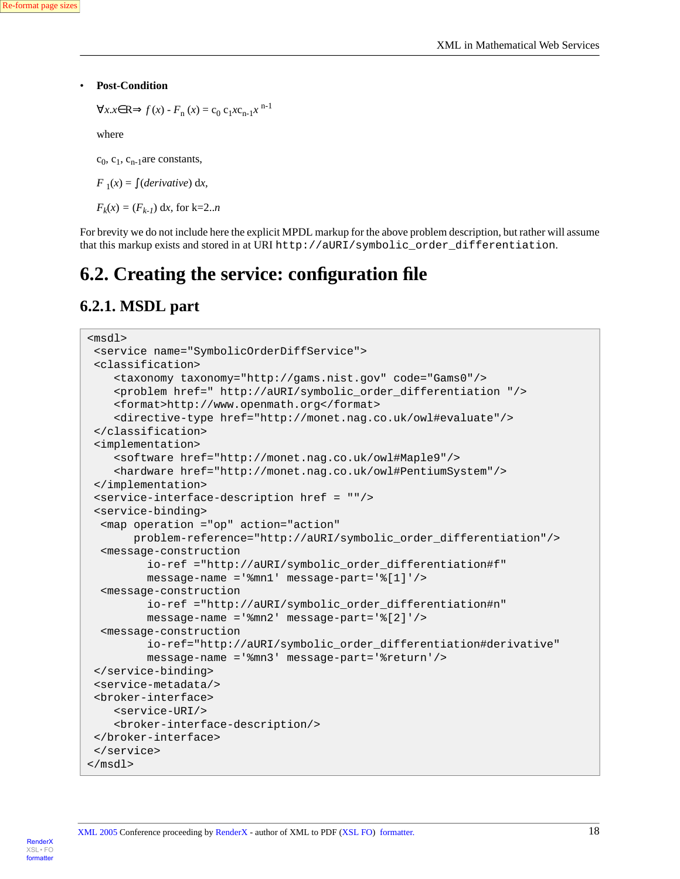#### • **Post-Condition**

```
\forall x. x \in \mathbb{R} \implies f(x) - F_n(x) = c_0 c_1 x c_{n-1} x^{n-1}
```
where

 $c_0$ ,  $c_1$ ,  $c_{n-1}$ are constants,

 $F_1(x) = \int (derivative) dx$ ,

 $F_k(x) = (F_{k-1}) dx$ , for k=2..*n* 

<span id="page-17-0"></span>For brevity we do not include here the explicit MPDL markup for the above problem description, but rather will assume that this markup exists and stored in at URI http://aURI/symbolic\_order\_differentiation.

### <span id="page-17-1"></span>**6.2. Creating the service: configuration file**

#### **6.2.1. MSDL part**

```
<msdl>
 <service name="SymbolicOrderDiffService">
 <classification>
     <taxonomy taxonomy="http://gams.nist.gov" code="Gams0"/>
     <problem href=" http://aURI/symbolic_order_differentiation "/>
     <format>http://www.openmath.org</format>
     <directive-type href="http://monet.nag.co.uk/owl#evaluate"/>
  </classification>
  <implementation>
     <software href="http://monet.nag.co.uk/owl#Maple9"/>
     <hardware href="http://monet.nag.co.uk/owl#PentiumSystem"/>
 </implementation>
  <service-interface-description href = ""/>
 <service-binding>
  <map operation ="op" action="action"
        problem-reference="http://aURI/symbolic_order_differentiation"/>
  <message-construction
          io-ref ="http://aURI/symbolic_order_differentiation#f"
          message-name ='%mn1' message-part='%[1]'/>
  <message-construction
          io-ref ="http://aURI/symbolic_order_differentiation#n"
          message-name ='%mn2' message-part='%[2]'/>
  <message-construction
          io-ref="http://aURI/symbolic_order_differentiation#derivative"
          message-name ='%mn3' message-part='%return'/>
  </service-binding>
  <service-metadata/>
  <broker-interface>
     <service-URI/>
     <broker-interface-description/>
 </broker-interface>
 </service>
</msdl>
```
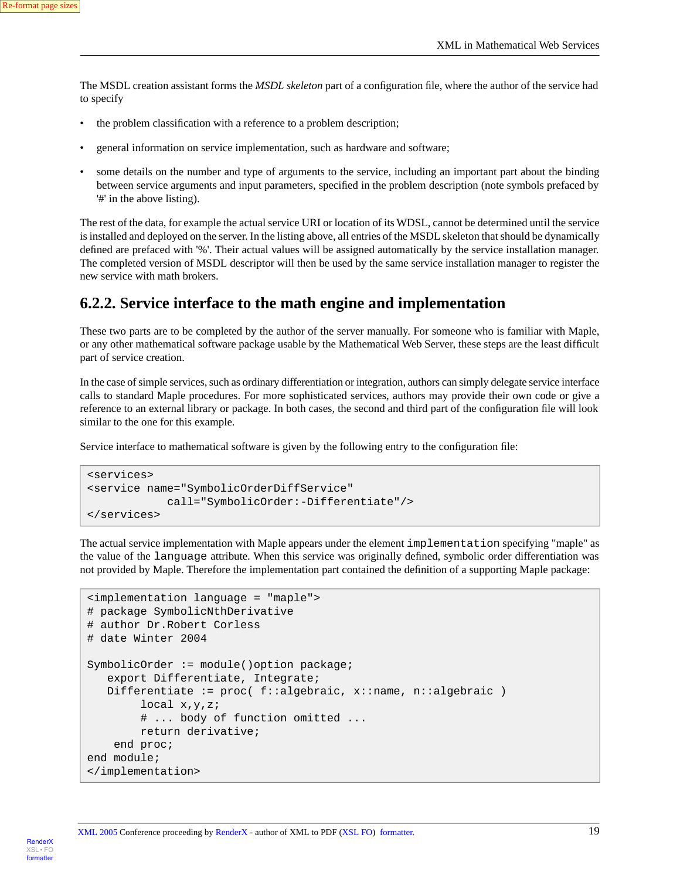The MSDL creation assistant forms the *MSDL skeleton* part of a configuration file, where the author of the service had to specify

- the problem classification with a reference to a problem description;
- general information on service implementation, such as hardware and software;
- some details on the number and type of arguments to the service, including an important part about the binding between service arguments and input parameters, specified in the problem description (note symbols prefaced by '#' in the above listing).

<span id="page-18-0"></span>The rest of the data, for example the actual service URI or location of its WDSL, cannot be determined until the service is installed and deployed on the server. In the listing above, all entries of the MSDL skeleton that should be dynamically defined are prefaced with '%'. Their actual values will be assigned automatically by the service installation manager. The completed version of MSDL descriptor will then be used by the same service installation manager to register the new service with math brokers.

#### **6.2.2. Service interface to the math engine and implementation**

These two parts are to be completed by the author of the server manually. For someone who is familiar with Maple, or any other mathematical software package usable by the Mathematical Web Server, these steps are the least difficult part of service creation.

In the case of simple services, such as ordinary differentiation or integration, authors can simply delegate service interface calls to standard Maple procedures. For more sophisticated services, authors may provide their own code or give a reference to an external library or package. In both cases, the second and third part of the configuration file will look similar to the one for this example.

Service interface to mathematical software is given by the following entry to the configuration file:

```
<services>
<service name="SymbolicOrderDiffService"
             call="SymbolicOrder:-Differentiate"/>
</services>
```
The actual service implementation with Maple appears under the element implementation specifying "maple" as the value of the language attribute. When this service was originally defined, symbolic order differentiation was not provided by Maple. Therefore the implementation part contained the definition of a supporting Maple package:

```
<implementation language = "maple">
# package SymbolicNthDerivative
# author Dr.Robert Corless
# date Winter 2004
SymbolicOrder := module()option package;
    export Differentiate, Integrate;
    Differentiate := proc( f::algebraic, x::name, n::algebraic )
         local x,y,z;
         # ... body of function omitted ...
         return derivative;
     end proc;
end module;
</implementation>
```
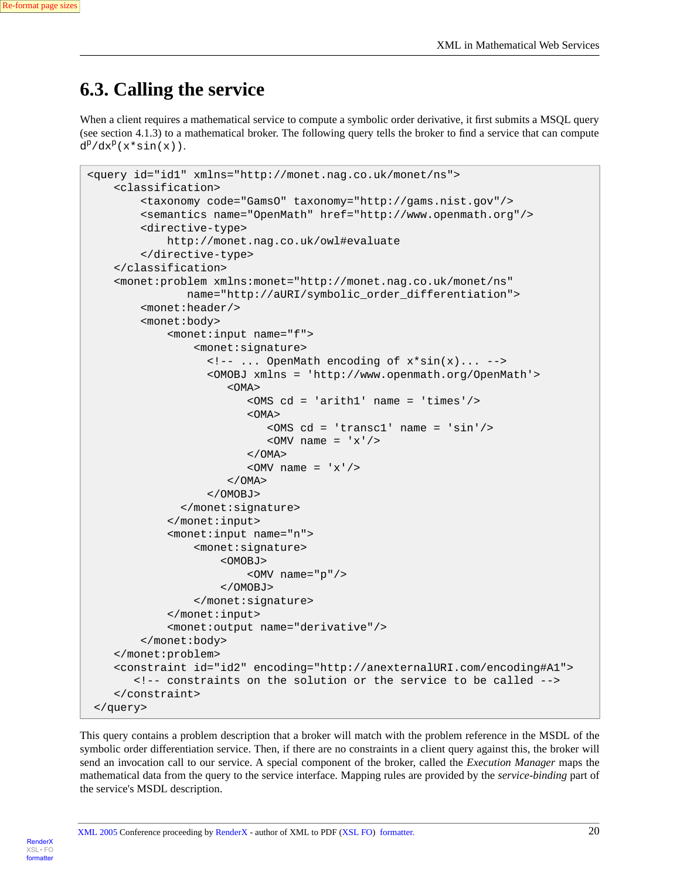```
Re-format page sizes
```
### <span id="page-19-0"></span>**6.3. Calling the service**

When a client requires a mathematical service to compute a symbolic order derivative, it first submits a MSQL query (see section 4.1.3) to a mathematical broker. The following query tells the broker to find a service that can compute  $d^p/dx^p(x^*\sin(x))$ .

```
<query id="id1" xmlns="http://monet.nag.co.uk/monet/ns">
     <classification>
         <taxonomy code="GamsO" taxonomy="http://gams.nist.gov"/>
         <semantics name="OpenMath" href="http://www.openmath.org"/>
         <directive-type>
             http://monet.nag.co.uk/owl#evaluate
         </directive-type>
     </classification>
     <monet:problem xmlns:monet="http://monet.nag.co.uk/monet/ns"
               name="http://aURI/symbolic_order_differentiation">
         <monet:header/>
         <monet:body>
             <monet:input name="f">
                  <monet:signature>
                    <!-- ... OpenMath encoding of x*sin(x)... -->
                    <OMOBJ xmlns = 'http://www.openmath.org/OpenMath'>
                      <OMA <OMS cd = 'arith1' name = 'times'/>
                          <OMA>
                              <OMS cd = 'transc1' name = 'sin'/>
                             \langleOMV name = 'x'/>
                         < / OMA>\langleOMV name = 'x'/>
                       </OMA>
                    </OMOBJ>
                </monet:signature>
             </monet:input>
             <monet:input name="n">
                  <monet:signature>
                      <OMOBJ>
                          <OMV name="p"/>
                      </OMOBJ>
                  </monet:signature>
             </monet:input>
             <monet:output name="derivative"/>
         </monet:body>
     </monet:problem>
     <constraint id="id2" encoding="http://anexternalURI.com/encoding#A1">
        <!-- constraints on the solution or the service to be called -->
     </constraint>
  </query>
```
This query contains a problem description that a broker will match with the problem reference in the MSDL of the symbolic order differentiation service. Then, if there are no constraints in a client query against this, the broker will send an invocation call to our service. A special component of the broker, called the *Execution Manager* maps the mathematical data from the query to the service interface. Mapping rules are provided by the *service-binding* part of the service's MSDL description.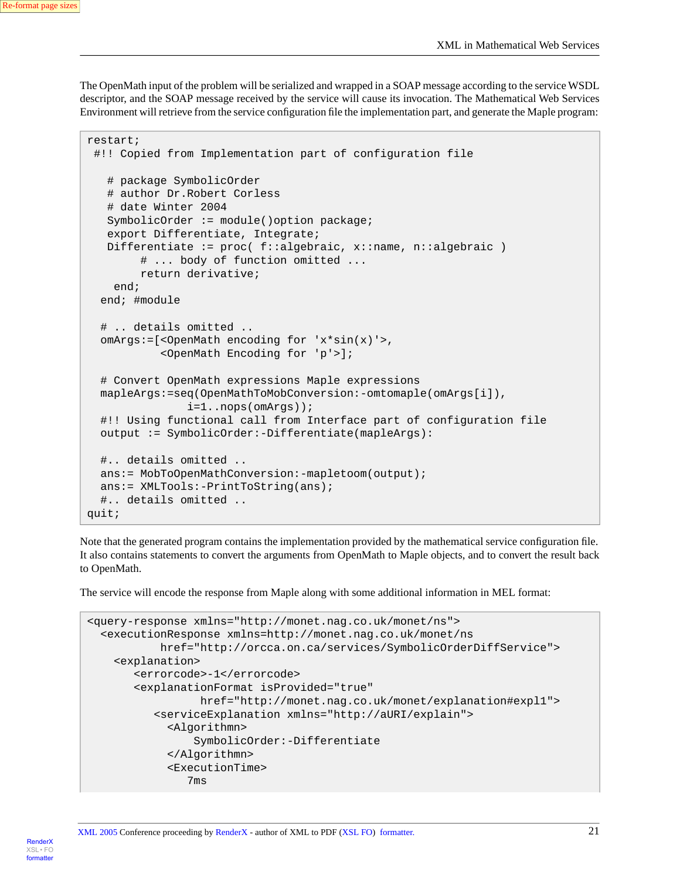[XSL•](http://www.google.com/search?q=http://www.w3.org/Style/XSL&btnI=I%27m+Feeling+Lucky) FO formatte

The OpenMath input of the problem will be serialized and wrapped in a SOAP message according to the service WSDL descriptor, and the SOAP message received by the service will cause its invocation. The Mathematical Web Services Environment will retrieve from the service configuration file the implementation part, and generate the Maple program:

```
restart;
  #!! Copied from Implementation part of configuration file
    # package SymbolicOrder
    # author Dr.Robert Corless
    # date Winter 2004
    SymbolicOrder := module()option package;
    export Differentiate, Integrate;
   Differentiate := proc( f::algebraic, x::name, n::algebraic )
         # ... body of function omitted ...
         return derivative;
     end;
   end; #module
   # .. details omitted ..
   omArgs:=[<OpenMath encoding for 'x*sin(x)'>,
            <OpenMath Encoding for 'p'>];
   # Convert OpenMath expressions Maple expressions
   mapleArgs:=seq(OpenMathToMobConversion:-omtomaple(omArgs[i]),
                i=1..nops(omArgs));
   #!! Using functional call from Interface part of configuration file
   output := SymbolicOrder:-Differentiate(mapleArgs):
   #.. details omitted ..
   ans:= MobToOpenMathConversion:-mapletoom(output);
   ans:= XMLTools:-PrintToString(ans);
   #.. details omitted ..
quit;
```
Note that the generated program contains the implementation provided by the mathematical service configuration file. It also contains statements to convert the arguments from OpenMath to Maple objects, and to convert the result back to OpenMath.

The service will encode the response from Maple along with some additional information in MEL format:

```
<query-response xmlns="http://monet.nag.co.uk/monet/ns">
  <executionResponse xmlns=http://monet.nag.co.uk/monet/ns
            href="http://orcca.on.ca/services/SymbolicOrderDiffService">
     <explanation>
        <errorcode>-1</errorcode>
        <explanationFormat isProvided="true"
                  href="http://monet.nag.co.uk/monet/explanation#expl1">
           <serviceExplanation xmlns="http://aURI/explain">
             <Algorithmn>
                 SymbolicOrder:-Differentiate
             </Algorithmn>
             <ExecutionTime>
                7ms
```
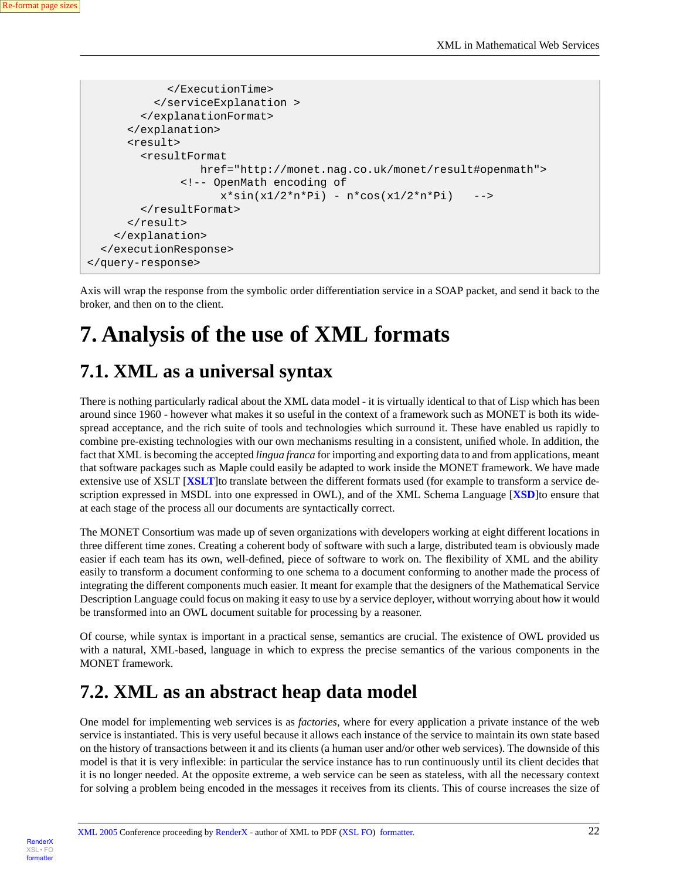```
 </ExecutionTime>
           </serviceExplanation >
         </explanationFormat>
       </explanation>
       <result>
         <resultFormat
                   href="http://monet.nag.co.uk/monet/result#openmath">
                <!-- OpenMath encoding of
                     x*sin(x1/2*n*Pi) - n*cos(x1/2*n*Pi) -->
         </resultFormat>
      \langleresult>
     </explanation>
   </executionResponse>
</query-response>
```
<span id="page-21-0"></span>Axis will wrap the response from the symbolic order differentiation service in a SOAP packet, and send it back to the broker, and then on to the client.

## <span id="page-21-1"></span>**7. Analysis of the use of XML formats**

### **7.1. XML as a universal syntax**

There is nothing particularly radical about the XML data model - it is virtually identical to that of Lisp which has been around since 1960 - however what makes it so useful in the context of a framework such as MONET is both its widespread acceptance, and the rich suite of tools and technologies which surround it. These have enabled us rapidly to combine pre-existing technologies with our own mechanisms resulting in a consistent, unified whole. In addition, the fact that XML is becoming the accepted *lingua franca* for importing and exporting data to and from applications, meant that software packages such as Maple could easily be adapted to work inside the MONET framework. We have made extensive use of XSLT [**[XSLT](#page-27-5)**]to translate between the different formats used (for example to transform a service description expressed in MSDL into one expressed in OWL), and of the XML Schema Language [**[XSD](#page-27-6)**]to ensure that at each stage of the process all our documents are syntactically correct.

The MONET Consortium was made up of seven organizations with developers working at eight different locations in three different time zones. Creating a coherent body of software with such a large, distributed team is obviously made easier if each team has its own, well-defined, piece of software to work on. The flexibility of XML and the ability easily to transform a document conforming to one schema to a document conforming to another made the process of integrating the different components much easier. It meant for example that the designers of the Mathematical Service Description Language could focus on making it easy to use by a service deployer, without worrying about how it would be transformed into an OWL document suitable for processing by a reasoner.

<span id="page-21-2"></span>Of course, while syntax is important in a practical sense, semantics are crucial. The existence of OWL provided us with a natural, XML-based, language in which to express the precise semantics of the various components in the MONET framework.

### **7.2. XML as an abstract heap data model**

One model for implementing web services is as *factories*, where for every application a private instance of the web service is instantiated. This is very useful because it allows each instance of the service to maintain its own state based on the history of transactions between it and its clients (a human user and/or other web services). The downside of this model is that it is very inflexible: in particular the service instance has to run continuously until its client decides that it is no longer needed. At the opposite extreme, a web service can be seen as stateless, with all the necessary context for solving a problem being encoded in the messages it receives from its clients. This of course increases the size of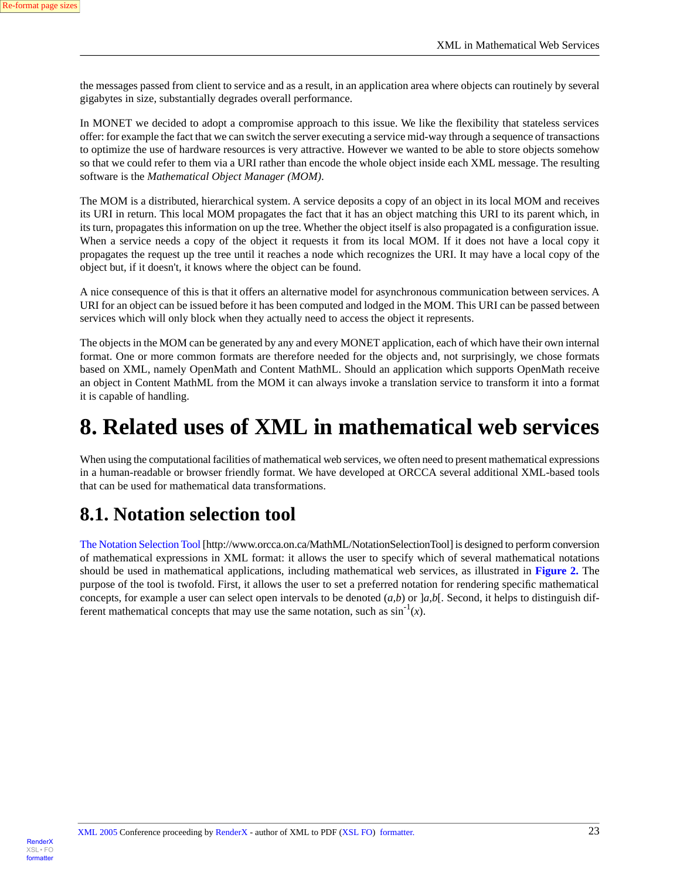the messages passed from client to service and as a result, in an application area where objects can routinely by several gigabytes in size, substantially degrades overall performance.

In MONET we decided to adopt a compromise approach to this issue. We like the flexibility that stateless services offer: for example the fact that we can switch the server executing a service mid-way through a sequence of transactions to optimize the use of hardware resources is very attractive. However we wanted to be able to store objects somehow so that we could refer to them via a URI rather than encode the whole object inside each XML message. The resulting software is the *Mathematical Object Manager (MOM)*.

The MOM is a distributed, hierarchical system. A service deposits a copy of an object in its local MOM and receives its URI in return. This local MOM propagates the fact that it has an object matching this URI to its parent which, in its turn, propagates this information on up the tree. Whether the object itself is also propagated is a configuration issue. When a service needs a copy of the object it requests it from its local MOM. If it does not have a local copy it propagates the request up the tree until it reaches a node which recognizes the URI. It may have a local copy of the object but, if it doesn't, it knows where the object can be found.

A nice consequence of this is that it offers an alternative model for asynchronous communication between services. A URI for an object can be issued before it has been computed and lodged in the MOM. This URI can be passed between services which will only block when they actually need to access the object it represents.

<span id="page-22-0"></span>The objects in the MOM can be generated by any and every MONET application, each of which have their own internal format. One or more common formats are therefore needed for the objects and, not surprisingly, we chose formats based on XML, namely OpenMath and Content MathML. Should an application which supports OpenMath receive an object in Content MathML from the MOM it can always invoke a translation service to transform it into a format it is capable of handling.

## **8. Related uses of XML in mathematical web services**

<span id="page-22-1"></span>When using the computational facilities of mathematical web services, we often need to present mathematical expressions in a human-readable or browser friendly format. We have developed at ORCCA several additional XML-based tools that can be used for mathematical data transformations.

### **8.1. Notation selection tool**

[The Notation Selection Tool](http://www.orcca.on.ca/MathML/NotationSelectionTool) [http://www.orcca.on.ca/MathML/NotationSelectionTool] is designed to perform conversion of mathematical expressions in XML format: it allows the user to specify which of several mathematical notations should be used in mathematical applications, including mathematical web services, as illustrated in **[Figure 2.](#page-23-1)** The purpose of the tool is twofold. First, it allows the user to set a preferred notation for rendering specific mathematical concepts, for example a user can select open intervals to be denoted (*a,b*) or ]*a,b*[*.* Second, it helps to distinguish different mathematical concepts that may use the same notation, such as  $\sin^{-1}(x)$ .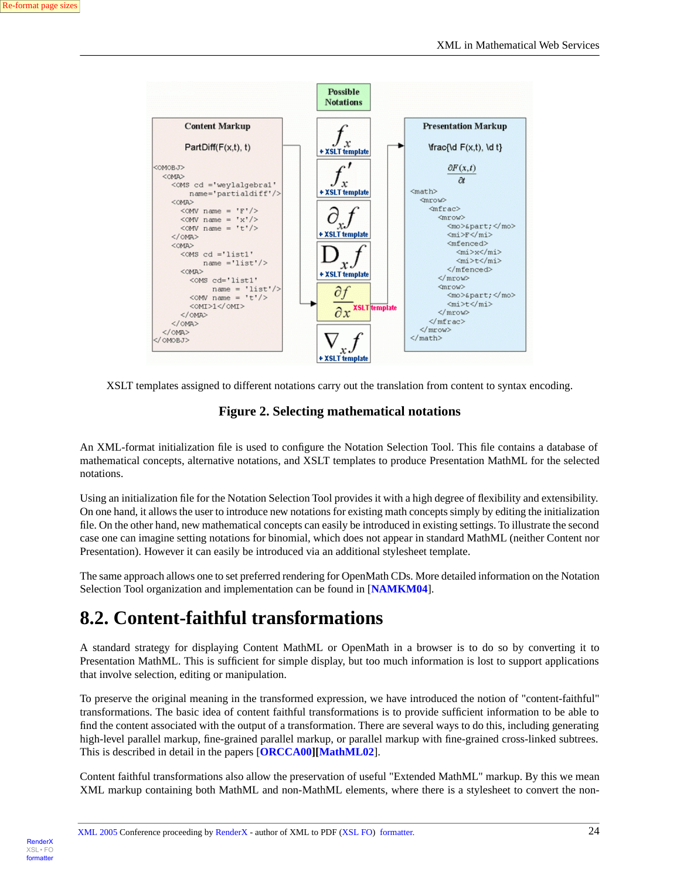

<span id="page-23-1"></span>XSLT templates assigned to different notations carry out the translation from content to syntax encoding.

#### **Figure 2. Selecting mathematical notations**

An XML-format initialization file is used to configure the Notation Selection Tool. This file contains a database of mathematical concepts, alternative notations, and XSLT templates to produce Presentation MathML for the selected notations.

Using an initialization file for the Notation Selection Tool provides it with a high degree of flexibility and extensibility. On one hand, it allows the user to introduce new notations for existing math concepts simply by editing the initialization file. On the other hand, new mathematical concepts can easily be introduced in existing settings. To illustrate the second case one can imagine setting notations for binomial, which does not appear in standard MathML (neither Content nor Presentation). However it can easily be introduced via an additional stylesheet template.

<span id="page-23-0"></span>The same approach allows one to set preferred rendering for OpenMath CDs. More detailed information on the Notation Selection Tool organization and implementation can be found in [**[NAMKM04](#page-26-13)**].

### **8.2. Content-faithful transformations**

A standard strategy for displaying Content MathML or OpenMath in a browser is to do so by converting it to Presentation MathML. This is sufficient for simple display, but too much information is lost to support applications that involve selection, editing or manipulation.

To preserve the original meaning in the transformed expression, we have introduced the notion of "content-faithful" transformations. The basic idea of content faithful transformations is to provide sufficient information to be able to find the content associated with the output of a transformation. There are several ways to do this, including generating high-level parallel markup, fine-grained parallel markup, or parallel markup with fine-grained cross-linked subtrees. This is described in detail in the papers [**[ORCCA00\]](#page-27-7)[[MathML02](#page-26-12)**].

Content faithful transformations also allow the preservation of useful "Extended MathML" markup. By this we mean XML markup containing both MathML and non-MathML elements, where there is a stylesheet to convert the non-

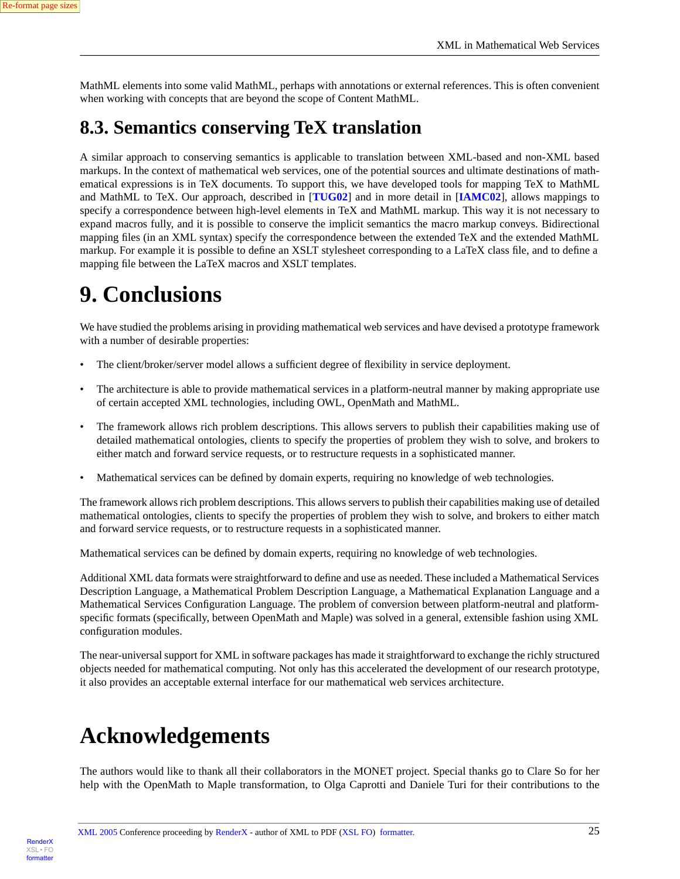<span id="page-24-0"></span>MathML elements into some valid MathML, perhaps with annotations or external references. This is often convenient when working with concepts that are beyond the scope of Content MathML.

### **8.3. Semantics conserving TeX translation**

A similar approach to conserving semantics is applicable to translation between XML-based and non-XML based markups. In the context of mathematical web services, one of the potential sources and ultimate destinations of mathematical expressions is in TeX documents. To support this, we have developed tools for mapping TeX to MathML and MathML to TeX. Our approach, described in [**[TUG02](#page-27-8)**] and in more detail in [**[IAMC02](#page-26-14)**], allows mappings to specify a correspondence between high-level elements in TeX and MathML markup. This way it is not necessary to expand macros fully, and it is possible to conserve the implicit semantics the macro markup conveys. Bidirectional mapping files (in an XML syntax) specify the correspondence between the extended TeX and the extended MathML markup. For example it is possible to define an XSLT stylesheet corresponding to a LaTeX class file, and to define a mapping file between the LaTeX macros and XSLT templates.

# <span id="page-24-1"></span>**9. Conclusions**

We have studied the problems arising in providing mathematical web services and have devised a prototype framework with a number of desirable properties:

- The client/broker/server model allows a sufficient degree of flexibility in service deployment.
- The architecture is able to provide mathematical services in a platform-neutral manner by making appropriate use of certain accepted XML technologies, including OWL, OpenMath and MathML.
- The framework allows rich problem descriptions. This allows servers to publish their capabilities making use of detailed mathematical ontologies, clients to specify the properties of problem they wish to solve, and brokers to either match and forward service requests, or to restructure requests in a sophisticated manner.
- Mathematical services can be defined by domain experts, requiring no knowledge of web technologies.

The framework allows rich problem descriptions. This allows servers to publish their capabilities making use of detailed mathematical ontologies, clients to specify the properties of problem they wish to solve, and brokers to either match and forward service requests, or to restructure requests in a sophisticated manner.

Mathematical services can be defined by domain experts, requiring no knowledge of web technologies.

Additional XML data formats were straightforward to define and use as needed. These included a Mathematical Services Description Language, a Mathematical Problem Description Language, a Mathematical Explanation Language and a Mathematical Services Configuration Language. The problem of conversion between platform-neutral and platformspecific formats (specifically, between OpenMath and Maple) was solved in a general, extensible fashion using XML configuration modules.

<span id="page-24-2"></span>The near-universal support for XML in software packages has made it straightforward to exchange the richly structured objects needed for mathematical computing. Not only has this accelerated the development of our research prototype, it also provides an acceptable external interface for our mathematical web services architecture.

# **Acknowledgements**

The authors would like to thank all their collaborators in the MONET project. Special thanks go to Clare So for her help with the OpenMath to Maple transformation, to Olga Caprotti and Daniele Turi for their contributions to the

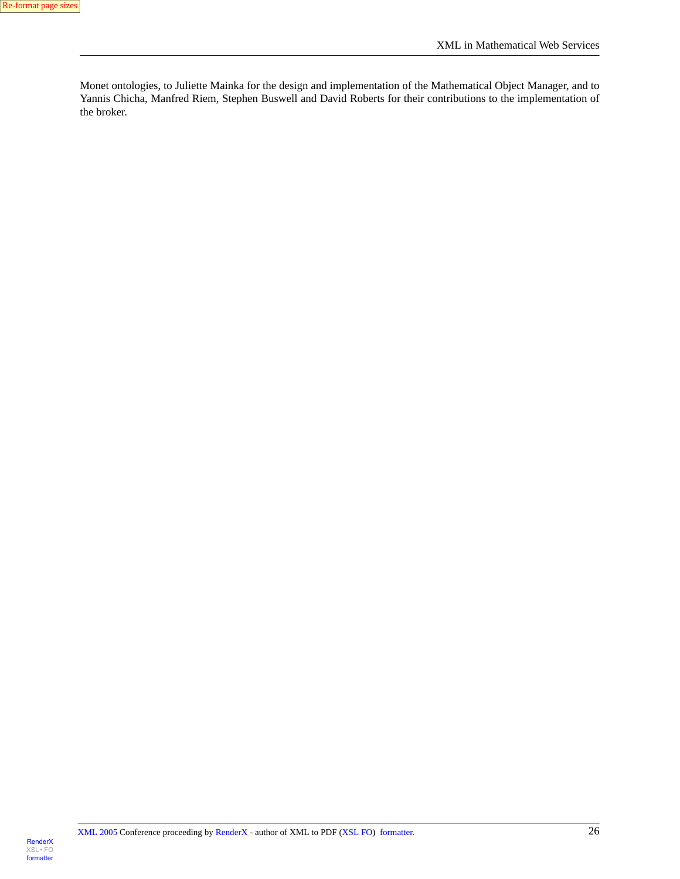<span id="page-25-0"></span>Monet ontologies, to Juliette Mainka for the design and implementation of the Mathematical Object Manager, and to Yannis Chicha, Manfred Riem, Stephen Buswell and David Roberts for their contributions to the implementation of the broker.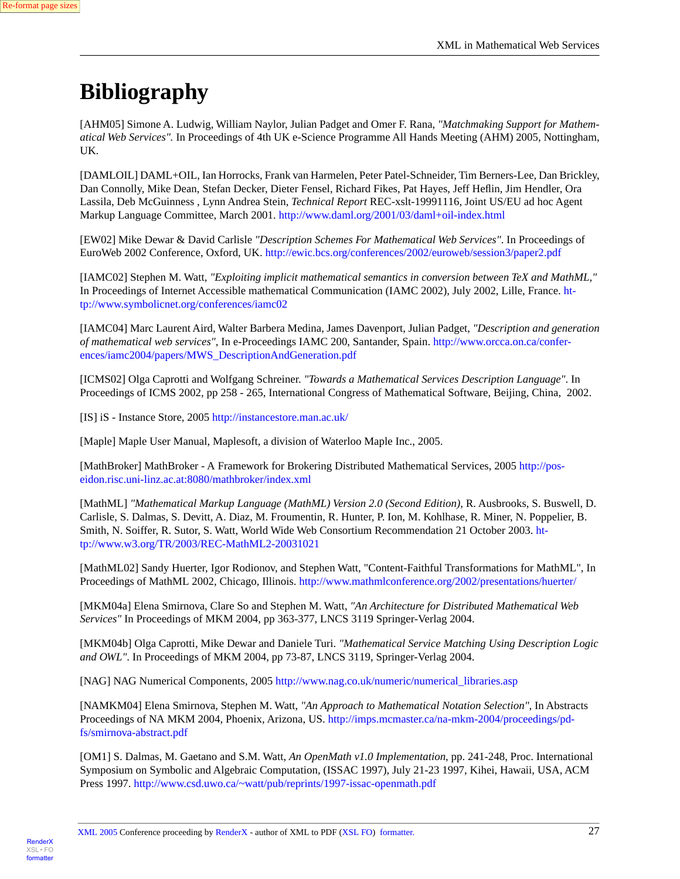# **Bibliography**

<span id="page-26-4"></span>[AHM05] Simone A. Ludwig, William Naylor, Julian Padget and Omer F. Rana, *"Matchmaking Support for Mathematical Web Services".* In Proceedings of 4th UK e-Science Programme All Hands Meeting (AHM) 2005, Nottingham, UK.

<span id="page-26-11"></span>[DAMLOIL] DAML+OIL, Ian Horrocks, Frank van Harmelen, Peter Patel-Schneider, Tim Berners-Lee, Dan Brickley, Dan Connolly, Mike Dean, Stefan Decker, Dieter Fensel, Richard Fikes, Pat Hayes, Jeff Heflin, Jim Hendler, Ora Lassila, Deb McGuinness , Lynn Andrea Stein, *Technical Report* REC-xslt-19991116, Joint US/EU ad hoc Agent Markup Language Committee, March 2001.<http://www.daml.org/2001/03/daml+oil-index.html>

<span id="page-26-14"></span><span id="page-26-1"></span>[EW02] Mike Dewar & David Carlisle *"Description Schemes For Mathematical Web Services"*. In Proceedings of EuroWeb 2002 Conference, Oxford, UK. <http://ewic.bcs.org/conferences/2002/euroweb/session3/paper2.pdf>

<span id="page-26-3"></span>[IAMC02] Stephen M. Watt, *"Exploiting implicit mathematical semantics in conversion between TeX and MathML,"* In Proceedings of Internet Accessible mathematical Communication (IAMC 2002), July 2002, Lille, France. [ht](http://www.symbolicnet.org/conferences/iamc02)[tp://www.symbolicnet.org/conferences/iamc02](http://www.symbolicnet.org/conferences/iamc02)

[IAMC04] Marc Laurent Aird, Walter Barbera Medina, James Davenport, Julian Padget, *"Description and generation of mathematical web services",* In e-Proceedings IAMC 200, Santander, Spain. [http://www.orcca.on.ca/confer](http://www.orcca.on.ca/conferences/iamc2004/papers/MWS_DescriptionAndGeneration.pdf)[ences/iamc2004/papers/MWS\\_DescriptionAndGeneration.pdf](http://www.orcca.on.ca/conferences/iamc2004/papers/MWS_DescriptionAndGeneration.pdf)

<span id="page-26-9"></span><span id="page-26-5"></span>[ICMS02] Olga Caprotti and Wolfgang Schreiner. *"Towards a Mathematical Services Description Language"*. In Proceedings of ICMS 2002, pp 258 - 265, International Congress of Mathematical Software, Beijing, China, 2002.

<span id="page-26-6"></span>[IS] iS - Instance Store, 2005 <http://instancestore.man.ac.uk/>

[Maple] Maple User Manual, Maplesoft, a division of Waterloo Maple Inc., 2005.

<span id="page-26-7"></span>[MathBroker] MathBroker - A Framework for Brokering Distributed Mathematical Services, 2005 [http://pos](http://poseidon.risc.uni-linz.ac.at:8080/mathbroker/index.xml)[eidon.risc.uni-linz.ac.at:8080/mathbroker/index.xml](http://poseidon.risc.uni-linz.ac.at:8080/mathbroker/index.xml)

<span id="page-26-12"></span>[MathML] *"Mathematical Markup Language (MathML) Version 2.0 (Second Edition)*, R. Ausbrooks, S. Buswell, D. Carlisle, S. Dalmas, S. Devitt, A. Diaz, M. Froumentin, R. Hunter, P. Ion, M. Kohlhase, R. Miner, N. Poppelier, B. Smith, N. Soiffer, R. Sutor, S. Watt, World Wide Web Consortium Recommendation 21 October 2003. [ht](http://www.w3.org/TR/2003/REC-MathML2-20031021)[tp://www.w3.org/TR/2003/REC-MathML2-20031021](http://www.w3.org/TR/2003/REC-MathML2-20031021)

<span id="page-26-2"></span><span id="page-26-0"></span>[MathML02] Sandy Huerter, Igor Rodionov, and Stephen Watt, "Content-Faithful Transformations for MathML", In Proceedings of MathML 2002, Chicago, Illinois. <http://www.mathmlconference.org/2002/presentations/huerter/>

<span id="page-26-10"></span>[MKM04a] Elena Smirnova, Clare So and Stephen M. Watt, *"An Architecture for Distributed Mathematical Web Services"* In Proceedings of MKM 2004, pp 363-377, LNCS 3119 Springer-Verlag 2004.

<span id="page-26-13"></span>[MKM04b] Olga Caprotti, Mike Dewar and Daniele Turi. *"Mathematical Service Matching Using Description Logic and OWL"*. In Proceedings of MKM 2004, pp 73-87, LNCS 3119, Springer-Verlag 2004.

<span id="page-26-8"></span>[NAG] NAG Numerical Components, 2005 http://www.nag.co.uk/numeric/numerical libraries.asp

[NAMKM04] Elena Smirnova, Stephen M. Watt, *"An Approach to Mathematical Notation Selection"*, In Abstracts Proceedings of NA MKM 2004, Phoenix, Arizona, US. [http://imps.mcmaster.ca/na-mkm-2004/proceedings/pd](http://imps.mcmaster.ca/na-mkm-2004/proceedings/pdfs/smirnova-abstract.pdf)[fs/smirnova-abstract.pdf](http://imps.mcmaster.ca/na-mkm-2004/proceedings/pdfs/smirnova-abstract.pdf)

[OM1] S. Dalmas, M. Gaetano and S.M. Watt, *An OpenMath v1.0 Implementation*, pp. 241-248, Proc. International Symposium on Symbolic and Algebraic Computation, (ISSAC 1997), July 21-23 1997, Kihei, Hawaii, USA, ACM Press 1997. <http://www.csd.uwo.ca/~watt/pub/reprints/1997-issac-openmath.pdf>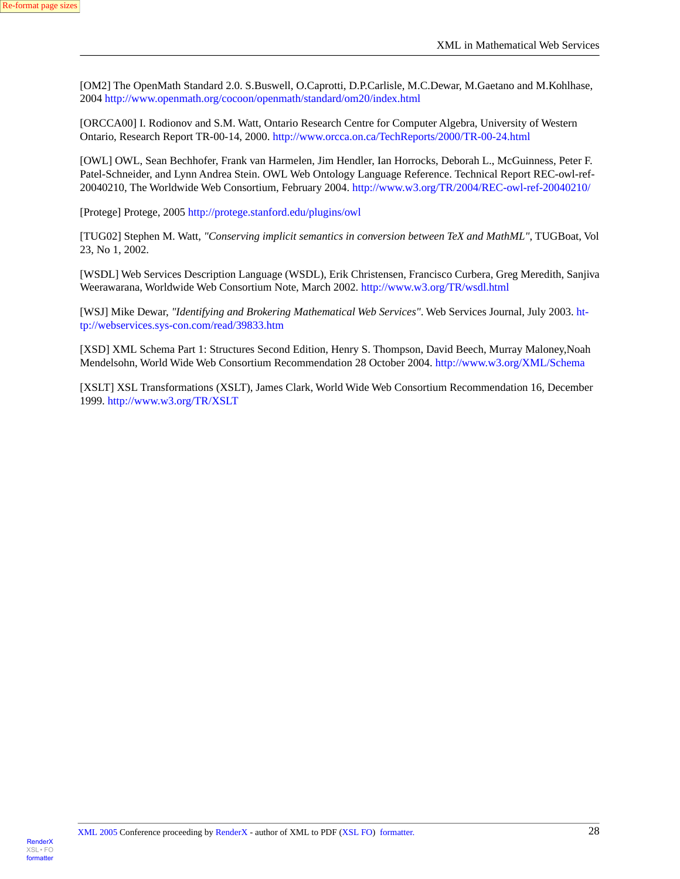<span id="page-27-2"></span>[OM2] The OpenMath Standard 2.0. S.Buswell, O.Caprotti, D.P.Carlisle, M.C.Dewar, M.Gaetano and M.Kohlhase, 2004 <http://www.openmath.org/cocoon/openmath/standard/om20/index.html>

<span id="page-27-7"></span>[ORCCA00] I. Rodionov and S.M. Watt, Ontario Research Centre for Computer Algebra, University of Western Ontario, Research Report TR-00-14, 2000. <http://www.orcca.on.ca/TechReports/2000/TR-00-24.html>

<span id="page-27-1"></span>[OWL] OWL, Sean Bechhofer, Frank van Harmelen, Jim Hendler, Ian Horrocks, Deborah L., McGuinness, Peter F. Patel-Schneider, and Lynn Andrea Stein. OWL Web Ontology Language Reference. Technical Report REC-owl-ref-20040210, The Worldwide Web Consortium, February 2004.<http://www.w3.org/TR/2004/REC-owl-ref-20040210/>

<span id="page-27-8"></span><span id="page-27-3"></span>[Protege] Protege, 2005 <http://protege.stanford.edu/plugins/owl>

<span id="page-27-4"></span>[TUG02] Stephen M. Watt, *"Conserving implicit semantics in conversion between TeX and MathML"*, TUGBoat, Vol 23, No 1, 2002.

<span id="page-27-0"></span>[WSDL] Web Services Description Language (WSDL), Erik Christensen, Francisco Curbera, Greg Meredith, Sanjiva Weerawarana, Worldwide Web Consortium Note, March 2002.<http://www.w3.org/TR/wsdl.html>

<span id="page-27-6"></span>[WSJ] Mike Dewar, *"Identifying and Brokering Mathematical Web Services"*. Web Services Journal, July 2003. [ht](http://webservices.sys-con.com/read/39833.htm)[tp://webservices.sys-con.com/read/39833.htm](http://webservices.sys-con.com/read/39833.htm)

<span id="page-27-5"></span>[XSD] XML Schema Part 1: Structures Second Edition, Henry S. Thompson, David Beech, Murray Maloney,Noah Mendelsohn, World Wide Web Consortium Recommendation 28 October 2004.<http://www.w3.org/XML/Schema>

[XSLT] XSL Transformations (XSLT), James Clark, World Wide Web Consortium Recommendation 16, December 1999. <http://www.w3.org/TR/XSLT>